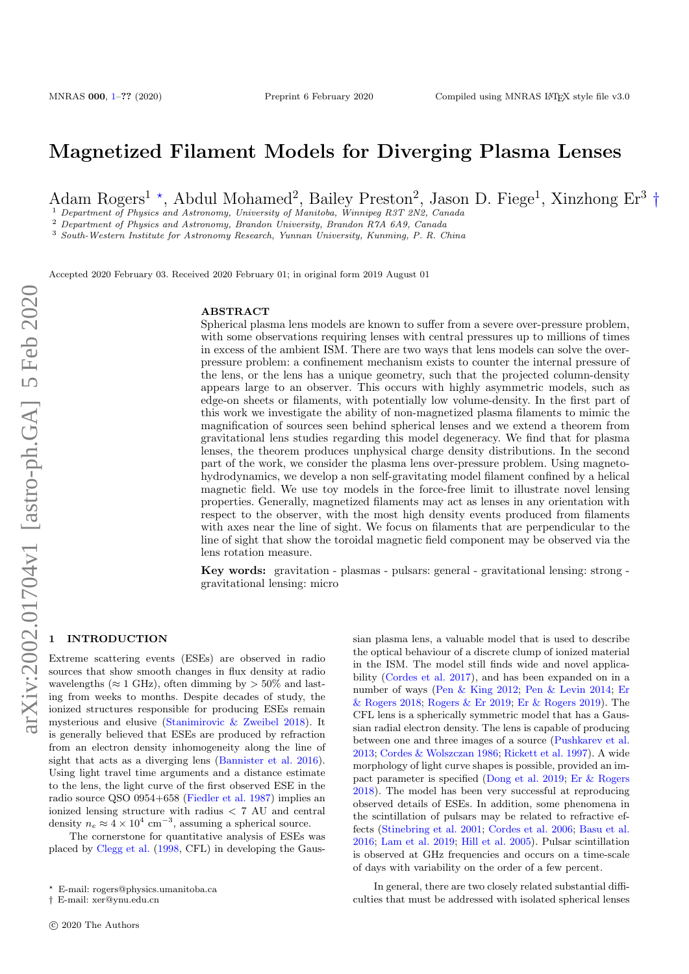# Magnetized Filament Models for Diverging Plasma Lenses

Adam Rogers<sup>1</sup><sup>\*</sup>, Abdul Mohamed<sup>2</sup>, Bailey Preston<sup>2</sup>, Jason D. Fiege<sup>1</sup>, Xinzhong Er<sup>3</sup><sup>+</sup>

<sup>1</sup> Department of Physics and Astronomy, University of Manitoba, Winnipeg R3T 2N2, Canada

<sup>2</sup> Department of Physics and Astronomy, Brandon University, Brandon R7A 6A9, Canada

<sup>3</sup> South-Western Institute for Astronomy Research, Yunnan University, Kunming, P. R. China

Accepted 2020 February 03. Received 2020 February 01; in original form 2019 August 01

#### ABSTRACT

Spherical plasma lens models are known to suffer from a severe over-pressure problem, with some observations requiring lenses with central pressures up to millions of times in excess of the ambient ISM. There are two ways that lens models can solve the overpressure problem: a confinement mechanism exists to counter the internal pressure of the lens, or the lens has a unique geometry, such that the projected column-density appears large to an observer. This occurs with highly asymmetric models, such as edge-on sheets or filaments, with potentially low volume-density. In the first part of this work we investigate the ability of non-magnetized plasma filaments to mimic the magnification of sources seen behind spherical lenses and we extend a theorem from gravitational lens studies regarding this model degeneracy. We find that for plasma lenses, the theorem produces unphysical charge density distributions. In the second part of the work, we consider the plasma lens over-pressure problem. Using magnetohydrodynamics, we develop a non self-gravitating model filament confined by a helical magnetic field. We use toy models in the force-free limit to illustrate novel lensing properties. Generally, magnetized filaments may act as lenses in any orientation with respect to the observer, with the most high density events produced from filaments with axes near the line of sight. We focus on filaments that are perpendicular to the line of sight that show the toroidal magnetic field component may be observed via the lens rotation measure.

Key words: gravitation - plasmas - pulsars: general - gravitational lensing: strong gravitational lensing: micro

## <span id="page-0-0"></span>**INTRODUCTION**

Extreme scattering events (ESEs) are observed in radio sources that show smooth changes in flux density at radio wavelengths ( $\approx 1$  GHz), often dimming by  $> 50\%$  and lasting from weeks to months. Despite decades of study, the ionized structures responsible for producing ESEs remain mysterious and elusive [\(Stanimirovic & Zweibel](#page-18-0) [2018\)](#page-18-0). It is generally believed that ESEs are produced by refraction from an electron density inhomogeneity along the line of sight that acts as a diverging lens [\(Bannister et al.](#page-17-0) [2016\)](#page-17-0). Using light travel time arguments and a distance estimate to the lens, the light curve of the first observed ESE in the radio source QSO 0954+658 [\(Fiedler et al.](#page-17-1) [1987\)](#page-17-1) implies an ionized lensing structure with radius < 7 AU and central density  $n_e \approx 4 \times 10^4$  cm<sup>-3</sup>, assuming a spherical source.

The cornerstone for quantitative analysis of ESEs was placed by [Clegg et al.](#page-17-2) [\(1998,](#page-17-2) CFL) in developing the Gaussian plasma lens, a valuable model that is used to describe the optical behaviour of a discrete clump of ionized material in the ISM. The model still finds wide and novel applicability [\(Cordes et al.](#page-17-3) [2017\)](#page-17-3), and has been expanded on in a number of ways [\(Pen & King](#page-17-4) [2012;](#page-17-4) [Pen & Levin](#page-17-5) [2014;](#page-17-5) [Er](#page-17-6) [& Rogers](#page-17-6) [2018;](#page-17-6) [Rogers & Er](#page-17-7) [2019;](#page-17-7) [Er & Rogers](#page-17-8) [2019\)](#page-17-8). The CFL lens is a spherically symmetric model that has a Gaussian radial electron density. The lens is capable of producing between one and three images of a source [\(Pushkarev et al.](#page-17-9) [2013;](#page-17-9) [Cordes & Wolszczan](#page-17-10) [1986;](#page-17-10) [Rickett et al.](#page-17-11) [1997\)](#page-17-11). A wide morphology of light curve shapes is possible, provided an impact parameter is specified [\(Dong et al.](#page-17-12) [2019;](#page-17-12) [Er & Rogers](#page-17-6) [2018\)](#page-17-6). The model has been very successful at reproducing observed details of ESEs. In addition, some phenomena in the scintillation of pulsars may be related to refractive effects [\(Stinebring et al.](#page-18-1) [2001;](#page-18-1) [Cordes et al.](#page-17-13) [2006;](#page-17-13) [Basu et al.](#page-17-14) [2016;](#page-17-14) [Lam et al.](#page-17-15) [2019;](#page-17-15) [Hill et al.](#page-17-16) [2005\)](#page-17-16). Pulsar scintillation is observed at GHz frequencies and occurs on a time-scale of days with variability on the order of a few percent.

In general, there are two closely related substantial difficulties that must be addressed with isolated spherical lenses

<sup>?</sup> E-mail: rogers@physics.umanitoba.ca

<sup>†</sup> E-mail: xer@ynu.edu.cn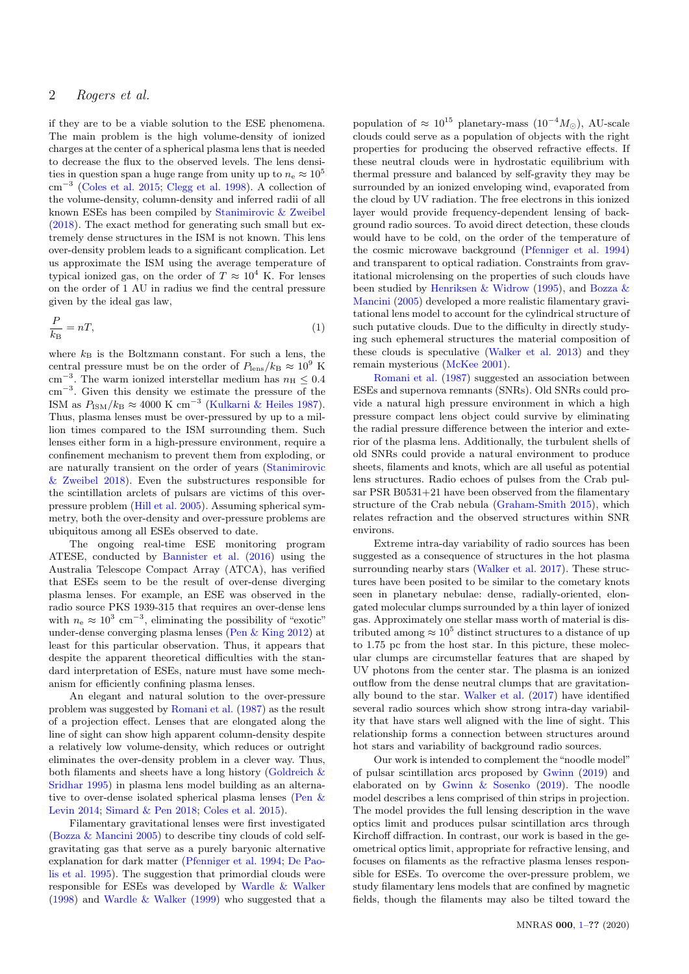if they are to be a viable solution to the ESE phenomena. The main problem is the high volume-density of ionized charges at the center of a spherical plasma lens that is needed to decrease the flux to the observed levels. The lens densities in question span a huge range from unity up to  $n_e \approx 10^5$ cm<sup>−</sup><sup>3</sup> [\(Coles et al.](#page-17-17) [2015;](#page-17-17) [Clegg et al.](#page-17-2) [1998\)](#page-17-2). A collection of the volume-density, column-density and inferred radii of all known ESEs has been compiled by [Stanimirovic & Zweibel](#page-18-0) [\(2018\)](#page-18-0). The exact method for generating such small but extremely dense structures in the ISM is not known. This lens over-density problem leads to a significant complication. Let us approximate the ISM using the average temperature of typical ionized gas, on the order of  $T \approx 10^4$  K. For lenses on the order of 1 AU in radius we find the central pressure given by the ideal gas law,

$$
\frac{P}{k_{\rm B}} = nT,\tag{1}
$$

where  $k_B$  is the Boltzmann constant. For such a lens, the central pressure must be on the order of  $P_{\rm lens}/k_{\rm B} \approx 10^9$  K cm<sup>-3</sup>. The warm ionized interstellar medium has  $n_{\rm H} \leq 0.4$ cm<sup>−</sup><sup>3</sup> . Given this density we estimate the pressure of the ISM as  $P_{\text{ISM}}/k_B \approx 4000 \text{ K cm}^{-3}$  [\(Kulkarni & Heiles](#page-17-18) [1987\)](#page-17-18). Thus, plasma lenses must be over-pressured by up to a million times compared to the ISM surrounding them. Such lenses either form in a high-pressure environment, require a confinement mechanism to prevent them from exploding, or are naturally transient on the order of years [\(Stanimirovic](#page-18-0) [& Zweibel](#page-18-0) [2018\)](#page-18-0). Even the substructures responsible for the scintillation arclets of pulsars are victims of this overpressure problem [\(Hill et al.](#page-17-16) [2005\)](#page-17-16). Assuming spherical symmetry, both the over-density and over-pressure problems are ubiquitous among all ESEs observed to date.

The ongoing real-time ESE monitoring program ATESE, conducted by [Bannister et al.](#page-17-0) [\(2016\)](#page-17-0) using the Australia Telescope Compact Array (ATCA), has verified that ESEs seem to be the result of over-dense diverging plasma lenses. For example, an ESE was observed in the radio source PKS 1939-315 that requires an over-dense lens with  $n_e \approx 10^3$  cm<sup>-3</sup>, eliminating the possibility of "exotic" under-dense converging plasma lenses [\(Pen & King](#page-17-4) [2012\)](#page-17-4) at least for this particular observation. Thus, it appears that despite the apparent theoretical difficulties with the standard interpretation of ESEs, nature must have some mechanism for efficiently confining plasma lenses.

An elegant and natural solution to the over-pressure problem was suggested by [Romani et al.](#page-17-19) [\(1987\)](#page-17-19) as the result of a projection effect. Lenses that are elongated along the line of sight can show high apparent column-density despite a relatively low volume-density, which reduces or outright eliminates the over-density problem in a clever way. Thus, both filaments and sheets have a long history [\(Goldreich &](#page-17-20) [Sridhar](#page-17-20) [1995\)](#page-17-20) in plasma lens model building as an alternative to over-dense isolated spherical plasma lenses [\(Pen &](#page-17-5) [Levin](#page-17-5) [2014;](#page-17-5) [Simard & Pen](#page-17-21) [2018;](#page-17-21) [Coles et al.](#page-17-17) [2015\)](#page-17-17).

Filamentary gravitational lenses were first investigated [\(Bozza & Mancini](#page-17-22) [2005\)](#page-17-22) to describe tiny clouds of cold selfgravitating gas that serve as a purely baryonic alternative explanation for dark matter [\(Pfenniger et al.](#page-17-23) [1994;](#page-17-23) [De Pao](#page-17-24)[lis et al.](#page-17-24) [1995\)](#page-17-24). The suggestion that primordial clouds were responsible for ESEs was developed by [Wardle & Walker](#page-18-2) [\(1998\)](#page-18-2) and [Wardle & Walker](#page-18-3) [\(1999\)](#page-18-3) who suggested that a

population of  $\approx 10^{15}$  planetary-mass  $(10^{-4}M_{\odot})$ , AU-scale clouds could serve as a population of objects with the right properties for producing the observed refractive effects. If these neutral clouds were in hydrostatic equilibrium with thermal pressure and balanced by self-gravity they may be surrounded by an ionized enveloping wind, evaporated from the cloud by UV radiation. The free electrons in this ionized layer would provide frequency-dependent lensing of background radio sources. To avoid direct detection, these clouds would have to be cold, on the order of the temperature of the cosmic microwave background [\(Pfenniger et al.](#page-17-23) [1994\)](#page-17-23) and transparent to optical radiation. Constraints from gravitational microlensing on the properties of such clouds have been studied by [Henriksen & Widrow](#page-17-25) [\(1995\)](#page-17-25), and [Bozza &](#page-17-22) [Mancini](#page-17-22) [\(2005\)](#page-17-22) developed a more realistic filamentary gravitational lens model to account for the cylindrical structure of such putative clouds. Due to the difficulty in directly studying such ephemeral structures the material composition of these clouds is speculative [\(Walker et al.](#page-18-4) [2013\)](#page-18-4) and they remain mysterious [\(McKee](#page-17-26) [2001\)](#page-17-26).

[Romani et al.](#page-17-19) [\(1987\)](#page-17-19) suggested an association between ESEs and supernova remnants (SNRs). Old SNRs could provide a natural high pressure environment in which a high pressure compact lens object could survive by eliminating the radial pressure difference between the interior and exterior of the plasma lens. Additionally, the turbulent shells of old SNRs could provide a natural environment to produce sheets, filaments and knots, which are all useful as potential lens structures. Radio echoes of pulses from the Crab pulsar PSR B0531+21 have been observed from the filamentary structure of the Crab nebula [\(Graham-Smith](#page-17-27) [2015\)](#page-17-27), which relates refraction and the observed structures within SNR environs.

Extreme intra-day variability of radio sources has been suggested as a consequence of structures in the hot plasma surrounding nearby stars [\(Walker et al.](#page-18-5) [2017\)](#page-18-5). These structures have been posited to be similar to the cometary knots seen in planetary nebulae: dense, radially-oriented, elongated molecular clumps surrounded by a thin layer of ionized gas. Approximately one stellar mass worth of material is distributed among  $\approx 10^5$  distinct structures to a distance of up to 1.75 pc from the host star. In this picture, these molecular clumps are circumstellar features that are shaped by UV photons from the center star. The plasma is an ionized outflow from the dense neutral clumps that are gravitationally bound to the star. [Walker et al.](#page-18-5) [\(2017\)](#page-18-5) have identified several radio sources which show strong intra-day variability that have stars well aligned with the line of sight. This relationship forms a connection between structures around hot stars and variability of background radio sources.

Our work is intended to complement the "noodle model" of pulsar scintillation arcs proposed by [Gwinn](#page-17-28) [\(2019\)](#page-17-28) and elaborated on by [Gwinn & Sosenko](#page-17-29) [\(2019\)](#page-17-29). The noodle model describes a lens comprised of thin strips in projection. The model provides the full lensing description in the wave optics limit and produces pulsar scintillation arcs through Kirchoff diffraction. In contrast, our work is based in the geometrical optics limit, appropriate for refractive lensing, and focuses on filaments as the refractive plasma lenses responsible for ESEs. To overcome the over-pressure problem, we study filamentary lens models that are confined by magnetic fields, though the filaments may also be tilted toward the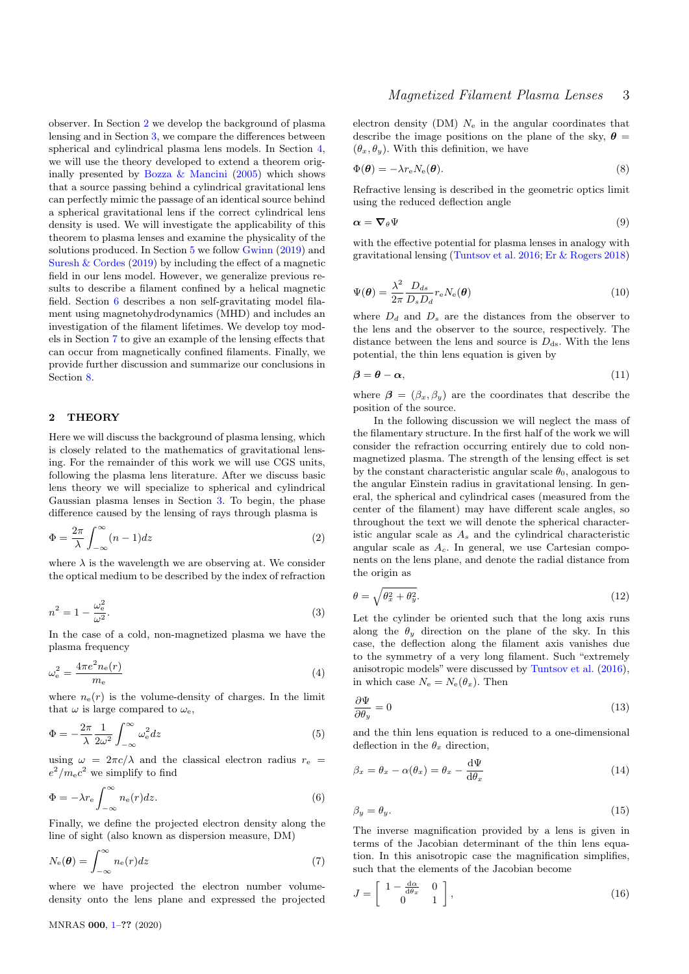observer. In Section [2](#page-2-0) we develop the background of plasma lensing and in Section [3,](#page-3-0) we compare the differences between spherical and cylindrical plasma lens models. In Section [4,](#page-4-0) we will use the theory developed to extend a theorem originally presented by Bozza  $\&$  Mancini [\(2005\)](#page-17-22) which shows that a source passing behind a cylindrical gravitational lens can perfectly mimic the passage of an identical source behind a spherical gravitational lens if the correct cylindrical lens density is used. We will investigate the applicability of this theorem to plasma lenses and examine the physicality of the solutions produced. In Section [5](#page-8-0) we follow [Gwinn](#page-17-28) [\(2019\)](#page-17-28) and [Suresh & Cordes](#page-18-6) [\(2019\)](#page-18-6) by including the effect of a magnetic field in our lens model. However, we generalize previous results to describe a filament confined by a helical magnetic field. Section [6](#page-9-0) describes a non self-gravitating model filament using magnetohydrodynamics (MHD) and includes an investigation of the filament lifetimes. We develop toy models in Section [7](#page-13-0) to give an example of the lensing effects that can occur from magnetically confined filaments. Finally, we provide further discussion and summarize our conclusions in Section [8.](#page-15-0)

## <span id="page-2-0"></span>2 THEORY

Here we will discuss the background of plasma lensing, which is closely related to the mathematics of gravitational lensing. For the remainder of this work we will use CGS units, following the plasma lens literature. After we discuss basic lens theory we will specialize to spherical and cylindrical Gaussian plasma lenses in Section [3.](#page-3-0) To begin, the phase difference caused by the lensing of rays through plasma is

$$
\Phi = \frac{2\pi}{\lambda} \int_{-\infty}^{\infty} (n-1) dz
$$
 (2)

where  $\lambda$  is the wavelength we are observing at. We consider the optical medium to be described by the index of refraction

$$
n^2 = 1 - \frac{\omega_e^2}{\omega^2}.\tag{3}
$$

In the case of a cold, non-magnetized plasma we have the plasma frequency

$$
\omega_{\rm e}^2 = \frac{4\pi e^2 n_{\rm e}(r)}{m_{\rm e}}\tag{4}
$$

where  $n_e(r)$  is the volume-density of charges. In the limit that  $\omega$  is large compared to  $\omega_{\rm e}$ ,

$$
\Phi = -\frac{2\pi}{\lambda} \frac{1}{2\omega^2} \int_{-\infty}^{\infty} \omega_e^2 dz
$$
\n(5)

using  $\omega = 2\pi c/\lambda$  and the classical electron radius  $r_e$  $e^2/m_e c^2$  we simplify to find

$$
\Phi = -\lambda r_{\rm e} \int_{-\infty}^{\infty} n_{\rm e}(r) dz.
$$
\n(6)

Finally, we define the projected electron density along the line of sight (also known as dispersion measure, DM)

$$
N_{\rm e}(\boldsymbol{\theta}) = \int_{-\infty}^{\infty} n_{\rm e}(r) dz
$$
\n(7)

where we have projected the electron number volumedensity onto the lens plane and expressed the projected electron density (DM)  $N_e$  in the angular coordinates that describe the image positions on the plane of the sky,  $\theta =$  $(\theta_x, \theta_y)$ . With this definition, we have

$$
\Phi(\boldsymbol{\theta}) = -\lambda r_e N_e(\boldsymbol{\theta}).\tag{8}
$$

<span id="page-2-1"></span>Refractive lensing is described in the geometric optics limit using the reduced deflection angle

$$
\alpha = \nabla_{\theta} \Psi \tag{9}
$$

with the effective potential for plasma lenses in analogy with gravitational lensing [\(Tuntsov et al.](#page-18-7) [2016;](#page-18-7) [Er & Rogers](#page-17-6) [2018\)](#page-17-6)

$$
\Psi(\boldsymbol{\theta}) = \frac{\lambda^2}{2\pi} \frac{D_{ds}}{D_s D_d} r_e N_e(\boldsymbol{\theta})
$$
\n(10)

where  $D_d$  and  $D_s$  are the distances from the observer to the lens and the observer to the source, respectively. The distance between the lens and source is  $D_{ds}$ . With the lens potential, the thin lens equation is given by

$$
\beta = \theta - \alpha,\tag{11}
$$

where  $\beta = (\beta_x, \beta_y)$  are the coordinates that describe the position of the source.

In the following discussion we will neglect the mass of the filamentary structure. In the first half of the work we will consider the refraction occurring entirely due to cold nonmagnetized plasma. The strength of the lensing effect is set by the constant characteristic angular scale  $\theta_0$ , analogous to the angular Einstein radius in gravitational lensing. In general, the spherical and cylindrical cases (measured from the center of the filament) may have different scale angles, so throughout the text we will denote the spherical characteristic angular scale as  $A_s$  and the cylindrical characteristic angular scale as  $A_c$ . In general, we use Cartesian components on the lens plane, and denote the radial distance from the origin as

<span id="page-2-2"></span>
$$
\theta = \sqrt{\theta_x^2 + \theta_y^2}.\tag{12}
$$

Let the cylinder be oriented such that the long axis runs along the  $\theta_y$  direction on the plane of the sky. In this case, the deflection along the filament axis vanishes due to the symmetry of a very long filament. Such "extremely anisotropic models" were discussed by [Tuntsov et al.](#page-18-7) [\(2016\)](#page-18-7), in which case  $N_e = N_e(\theta_x)$ . Then

$$
\frac{\partial \Psi}{\partial \theta_y} = 0 \tag{13}
$$

and the thin lens equation is reduced to a one-dimensional deflection in the  $\theta_x$  direction,

$$
\beta_x = \theta_x - \alpha(\theta_x) = \theta_x - \frac{\mathrm{d}\Psi}{\mathrm{d}\theta_x} \tag{14}
$$

$$
\beta_y = \theta_y. \tag{15}
$$

The inverse magnification provided by a lens is given in terms of the Jacobian determinant of the thin lens equation. In this anisotropic case the magnification simplifies, such that the elements of the Jacobian become

$$
J = \begin{bmatrix} 1 - \frac{d\alpha}{d\theta_x} & 0\\ 0 & 1 \end{bmatrix},
$$
\n(16)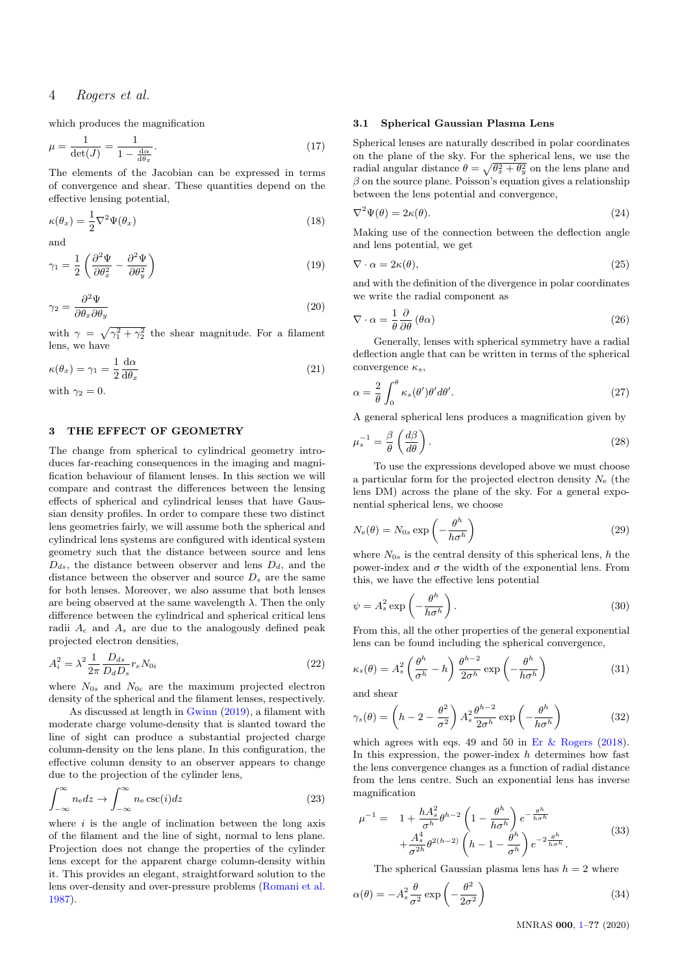which produces the magnification

$$
\mu = \frac{1}{\det(J)} = \frac{1}{1 - \frac{d\alpha}{d\theta x}}.\tag{17}
$$

The elements of the Jacobian can be expressed in terms of convergence and shear. These quantities depend on the effective lensing potential,

$$
\kappa(\theta_x) = \frac{1}{2} \nabla^2 \Psi(\theta_x)
$$
\n(18)

and

$$
\gamma_1 = \frac{1}{2} \left( \frac{\partial^2 \Psi}{\partial \theta_x^2} - \frac{\partial^2 \Psi}{\partial \theta_y^2} \right)
$$
(19)

$$
\gamma_2 = \frac{\partial^2 \Psi}{\partial \theta_x \partial \theta_y} \tag{20}
$$

with  $\gamma = \sqrt{\gamma_1^2 + \gamma_2^2}$  the shear magnitude. For a filament lens, we have

$$
\kappa(\theta_x) = \gamma_1 = \frac{1}{2} \frac{\mathrm{d}\alpha}{\mathrm{d}\theta_x} \tag{21}
$$

with  $\gamma_2 = 0$ .

## <span id="page-3-0"></span>3 THE EFFECT OF GEOMETRY

The change from spherical to cylindrical geometry introduces far-reaching consequences in the imaging and magnification behaviour of filament lenses. In this section we will compare and contrast the differences between the lensing effects of spherical and cylindrical lenses that have Gaussian density profiles. In order to compare these two distinct lens geometries fairly, we will assume both the spherical and cylindrical lens systems are configured with identical system geometry such that the distance between source and lens  $D_{ds}$ , the distance between observer and lens  $D_{d}$ , and the distance between the observer and source  $D_s$  are the same for both lenses. Moreover, we also assume that both lenses are being observed at the same wavelength  $\lambda$ . Then the only difference between the cylindrical and spherical critical lens radii  $A_c$  and  $A_s$  are due to the analogously defined peak projected electron densities,

$$
A_i^2 = \lambda^2 \frac{1}{2\pi} \frac{D_{ds}}{D_d D_s} r_e N_{0i}
$$
\n
$$
(22)
$$

where  $N_{0s}$  and  $N_{0c}$  are the maximum projected electron density of the spherical and the filament lenses, respectively.

As discussed at length in [Gwinn](#page-17-28) [\(2019\)](#page-17-28), a filament with moderate charge volume-density that is slanted toward the line of sight can produce a substantial projected charge column-density on the lens plane. In this configuration, the effective column density to an observer appears to change due to the projection of the cylinder lens,

$$
\int_{-\infty}^{\infty} n_{\rm e} dz \to \int_{-\infty}^{\infty} n_{\rm e} \csc(i) dz \tag{23}
$$

where  $i$  is the angle of inclination between the long axis of the filament and the line of sight, normal to lens plane. Projection does not change the properties of the cylinder lens except for the apparent charge column-density within it. This provides an elegant, straightforward solution to the lens over-density and over-pressure problems [\(Romani et al.](#page-17-19) [1987\)](#page-17-19).

#### 3.1 Spherical Gaussian Plasma Lens

Spherical lenses are naturally described in polar coordinates on the plane of the sky. For the spherical lens, we use the radial angular distance  $\theta = \sqrt{\theta_x^2 + \theta_y^2}$  on the lens plane and  $\beta$  on the source plane. Poisson's equation gives a relationship between the lens potential and convergence,

$$
\nabla^2 \Psi(\theta) = 2\kappa(\theta). \tag{24}
$$

Making use of the connection between the deflection angle and lens potential, we get

$$
\nabla \cdot \alpha = 2\kappa(\theta),\tag{25}
$$

and with the definition of the divergence in polar coordinates we write the radial component as

$$
\nabla \cdot \alpha = \frac{1}{\theta} \frac{\partial}{\partial \theta} (\theta \alpha) \tag{26}
$$

Generally, lenses with spherical symmetry have a radial deflection angle that can be written in terms of the spherical convergence  $\kappa_s$ ,

$$
\alpha = \frac{2}{\theta} \int_0^{\theta} \kappa_s(\theta') \theta' d\theta'.
$$
\n(27)

<span id="page-3-1"></span>A general spherical lens produces a magnification given by

$$
\mu_s^{-1} = \frac{\beta}{\theta} \left( \frac{d\beta}{d\theta} \right). \tag{28}
$$

To use the expressions developed above we must choose a particular form for the projected electron density  $N_{e}$  (the lens DM) across the plane of the sky. For a general exponential spherical lens, we choose

$$
N_{\rm e}(\theta) = N_{0s} \exp\left(-\frac{\theta^h}{h\sigma^h}\right) \tag{29}
$$

where  $N_{0s}$  is the central density of this spherical lens, h the power-index and  $\sigma$  the width of the exponential lens. From this, we have the effective lens potential

$$
\psi = A_s^2 \exp\left(-\frac{\theta^h}{h\sigma^h}\right). \tag{30}
$$

From this, all the other properties of the general exponential lens can be found including the spherical convergence,

$$
\kappa_s(\theta) = A_s^2 \left(\frac{\theta^h}{\sigma^h} - h\right) \frac{\theta^{h-2}}{2\sigma^h} \exp\left(-\frac{\theta^h}{h\sigma^h}\right)
$$
(31)

and shear

$$
\gamma_s(\theta) = \left(h - 2 - \frac{\theta^2}{\sigma^2}\right) A_s^2 \frac{\theta^{h-2}}{2\sigma^h} \exp\left(-\frac{\theta^h}{h\sigma^h}\right) \tag{32}
$$

which agrees with eqs. 49 and 50 in Er  $\&$  Rogers [\(2018\)](#page-17-6). In this expression, the power-index  $h$  determines how fast the lens convergence changes as a function of radial distance from the lens centre. Such an exponential lens has inverse magnification

$$
\mu^{-1} = 1 + \frac{hA_s^2}{\sigma^h} \theta^{h-2} \left( 1 - \frac{\theta^h}{h\sigma^h} \right) e^{-\frac{\theta^h}{h\sigma^h}} + \frac{A_s^4}{\sigma^{2h}} \theta^{2(h-2)} \left( h - 1 - \frac{\theta^h}{\sigma^h} \right) e^{-2\frac{\theta^h}{h\sigma^h}}.
$$
\n(33)

The spherical Gaussian plasma lens has  $h = 2$  where

$$
\alpha(\theta) = -A_s^2 \frac{\theta}{\sigma^2} \exp\left(-\frac{\theta^2}{2\sigma^2}\right)
$$
\n(34)

MNRAS 000, [1–](#page-0-0)?? (2020)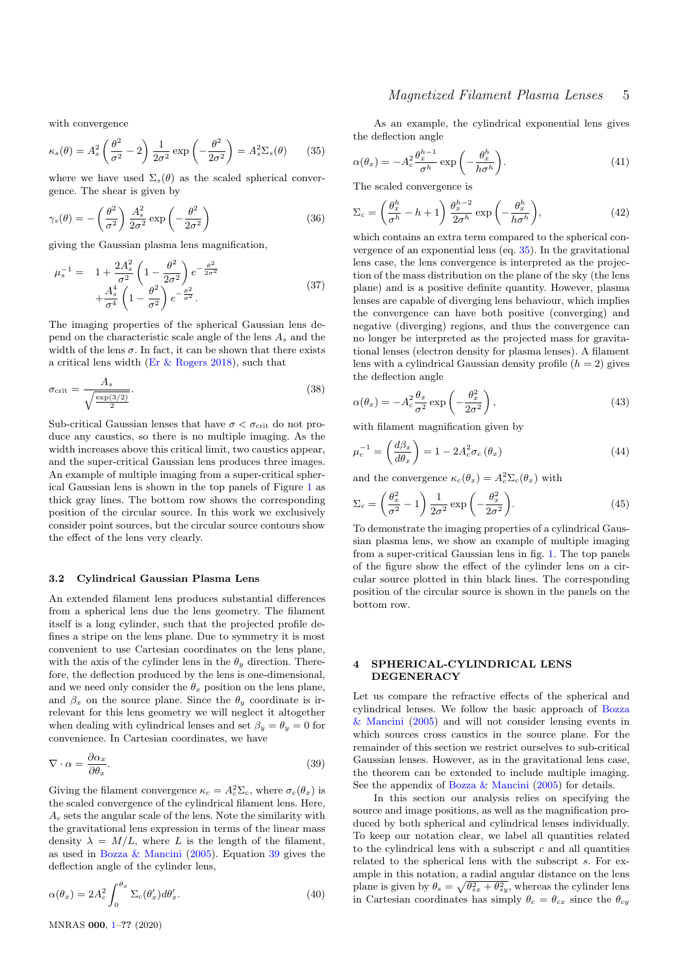<span id="page-4-2"></span>with convergence

$$
\kappa_s(\theta) = A_s^2 \left(\frac{\theta^2}{\sigma^2} - 2\right) \frac{1}{2\sigma^2} \exp\left(-\frac{\theta^2}{2\sigma^2}\right) = A_s^2 \Sigma_s(\theta) \qquad (35)
$$

where we have used  $\Sigma_s(\theta)$  as the scaled spherical convergence. The shear is given by

$$
\gamma_s(\theta) = -\left(\frac{\theta^2}{\sigma^2}\right) \frac{A_s^2}{2\sigma^2} \exp\left(-\frac{\theta^2}{2\sigma^2}\right) \tag{36}
$$

giving the Gaussian plasma lens magnification,

$$
\mu_s^{-1} = 1 + \frac{2A_s^2}{\sigma^2} \left( 1 - \frac{\theta^2}{2\sigma^2} \right) e^{-\frac{\theta^2}{2\sigma^2}} + \frac{A_s^4}{\sigma^4} \left( 1 - \frac{\theta^2}{\sigma^2} \right) e^{-\frac{\theta^2}{\sigma^2}}.
$$
\n(37)

The imaging properties of the spherical Gaussian lens depend on the characteristic scale angle of the lens  $A_s$  and the width of the lens  $\sigma$ . In fact, it can be shown that there exists a critical lens width [\(Er & Rogers](#page-17-6) [2018\)](#page-17-6), such that

$$
\sigma_{\rm crit} = \frac{A_s}{\sqrt{\frac{\exp(3/2)}{2}}}.\tag{38}
$$

Sub-critical Gaussian lenses that have  $\sigma < \sigma_{\rm crit}$  do not produce any caustics, so there is no multiple imaging. As the width increases above this critical limit, two caustics appear, and the super-critical Gaussian lens produces three images. An example of multiple imaging from a super-critical spherical Gaussian lens is shown in the top panels of Figure [1](#page-5-0) as thick gray lines. The bottom row shows the corresponding position of the circular source. In this work we exclusively consider point sources, but the circular source contours show the effect of the lens very clearly.

#### <span id="page-4-3"></span>3.2 Cylindrical Gaussian Plasma Lens

An extended filament lens produces substantial differences from a spherical lens due the lens geometry. The filament itself is a long cylinder, such that the projected profile defines a stripe on the lens plane. Due to symmetry it is most convenient to use Cartesian coordinates on the lens plane, with the axis of the cylinder lens in the  $\theta_y$  direction. Therefore, the deflection produced by the lens is one-dimensional, and we need only consider the  $\theta_x$  position on the lens plane, and  $\beta_x$  on the source plane. Since the  $\theta_y$  coordinate is irrelevant for this lens geometry we will neglect it altogether when dealing with cylindrical lenses and set  $\beta_y = \theta_y = 0$  for convenience. In Cartesian coordinates, we have

$$
\nabla \cdot \alpha = \frac{\partial \alpha_x}{\partial \theta_x}.
$$
\n(39)

Giving the filament convergence  $\kappa_c = A_c^2 \Sigma_c$ , where  $\sigma_c(\theta_x)$  is the scaled convergence of the cylindrical filament lens. Here,  $A_c$  sets the angular scale of the lens. Note the similarity with the gravitational lens expression in terms of the linear mass density  $\lambda = M/L$ , where L is the length of the filament, as used in [Bozza & Mancini](#page-17-22) [\(2005\)](#page-17-22). Equation [39](#page-4-1) gives the deflection angle of the cylinder lens,

$$
\alpha(\theta_x) = 2A_c^2 \int_0^{\theta_x} \Sigma_c(\theta_x') d\theta_x'. \tag{40}
$$

As an example, the cylindrical exponential lens gives the deflection angle

$$
\alpha(\theta_x) = -A_c^2 \frac{\theta_x^{h-1}}{\sigma^h} \exp\left(-\frac{\theta_x^h}{h\sigma^h}\right).
$$
\n(41)

The scaled convergence is

$$
\Sigma_c = \left(\frac{\theta_x^h}{\sigma^h} - h + 1\right) \frac{\theta_x^{h-2}}{2\sigma^h} \exp\left(-\frac{\theta_x^h}{h\sigma^h}\right),\tag{42}
$$

which contains an extra term compared to the spherical convergence of an exponential lens (eq. [35\)](#page-4-2). In the gravitational lens case, the lens convergence is interpreted as the projection of the mass distribution on the plane of the sky (the lens plane) and is a positive definite quantity. However, plasma lenses are capable of diverging lens behaviour, which implies the convergence can have both positive (converging) and negative (diverging) regions, and thus the convergence can no longer be interpreted as the projected mass for gravitational lenses (electron density for plasma lenses). A filament lens with a cylindrical Gaussian density profile  $(h = 2)$  gives the deflection angle

$$
\alpha(\theta_x) = -A_c^2 \frac{\theta_x}{\sigma^2} \exp\left(-\frac{\theta_x^2}{2\sigma^2}\right),\tag{43}
$$

<span id="page-4-4"></span>with filament magnification given by

$$
\mu_c^{-1} = \left(\frac{d\beta_x}{d\theta_x}\right) = 1 - 2A_c^2 \sigma_c \left(\theta_x\right) \tag{44}
$$

and the convergence  $\kappa_c(\theta_x) = A_c^2 \Sigma_c(\theta_x)$  with

$$
\Sigma_c = \left(\frac{\theta_x^2}{\sigma^2} - 1\right) \frac{1}{2\sigma^2} \exp\left(-\frac{\theta_x^2}{2\sigma^2}\right).
$$
 (45)

To demonstrate the imaging properties of a cylindrical Gaussian plasma lens, we show an example of multiple imaging from a super-critical Gaussian lens in fig. [1.](#page-5-0) The top panels of the figure show the effect of the cylinder lens on a circular source plotted in thin black lines. The corresponding position of the circular source is shown in the panels on the bottom row.

#### <span id="page-4-0"></span>4 SPHERICAL-CYLINDRICAL LENS DEGENERACY

<span id="page-4-1"></span>Let us compare the refractive effects of the spherical and cylindrical lenses. We follow the basic approach of [Bozza](#page-17-22) [& Mancini](#page-17-22) [\(2005\)](#page-17-22) and will not consider lensing events in which sources cross caustics in the source plane. For the remainder of this section we restrict ourselves to sub-critical Gaussian lenses. However, as in the gravitational lens case, the theorem can be extended to include multiple imaging. See the appendix of Bozza  $\&$  Mancini [\(2005\)](#page-17-22) for details.

<span id="page-4-5"></span>In this section our analysis relies on specifying the source and image positions, as well as the magnification produced by both spherical and cylindrical lenses individually. To keep our notation clear, we label all quantities related to the cylindrical lens with a subscript  $c$  and all quantities related to the spherical lens with the subscript s. For example in this notation, a radial angular distance on the lens plane is given by  $\theta_s = \sqrt{\theta_{sx}^2 + \theta_{sy}^2}$ , whereas the cylinder lens in Cartesian coordinates has simply  $\theta_c = \theta_{cx}$  since the  $\theta_{cy}$ 

MNRAS 000, [1–](#page-0-0)?? (2020)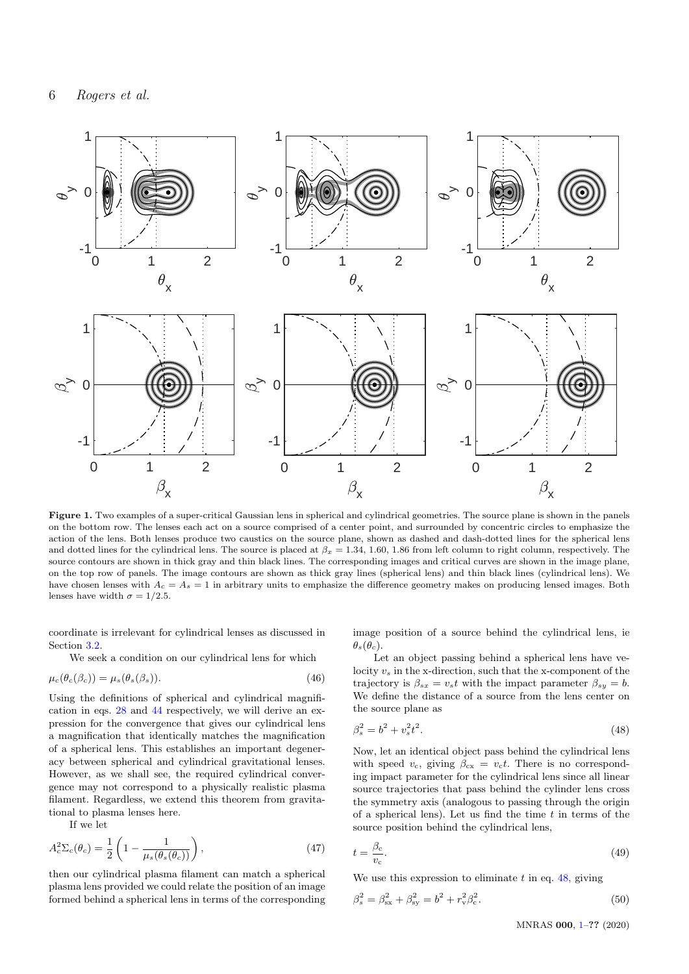

Figure 1. Two examples of a super-critical Gaussian lens in spherical and cylindrical geometries. The source plane is shown in the panels on the bottom row. The lenses each act on a source comprised of a center point, and surrounded by concentric circles to emphasize the action of the lens. Both lenses produce two caustics on the source plane, shown as dashed and dash-dotted lines for the spherical lens and dotted lines for the cylindrical lens. The source is placed at  $\beta_x = 1.34, 1.60, 1.86$  from left column to right column, respectively. The source contours are shown in thick gray and thin black lines. The corresponding images and critical curves are shown in the image plane, on the top row of panels. The image contours are shown as thick gray lines (spherical lens) and thin black lines (cylindrical lens). We have chosen lenses with  $A_c = A_s = 1$  in arbitrary units to emphasize the difference geometry makes on producing lensed images. Both lenses have width  $\sigma = 1/2.5$ .

coordinate is irrelevant for cylindrical lenses as discussed in Section [3.2.](#page-4-3)

We seek a condition on our cylindrical lens for which

$$
\mu_c(\theta_c(\beta_c)) = \mu_s(\theta_s(\beta_s)).\tag{46}
$$

Using the definitions of spherical and cylindrical magnification in eqs. [28](#page-3-1) and [44](#page-4-4) respectively, we will derive an expression for the convergence that gives our cylindrical lens a magnification that identically matches the magnification of a spherical lens. This establishes an important degeneracy between spherical and cylindrical gravitational lenses. However, as we shall see, the required cylindrical convergence may not correspond to a physically realistic plasma filament. Regardless, we extend this theorem from gravitational to plasma lenses here.

<span id="page-5-2"></span>If we let

$$
A_c^2 \Sigma_c(\theta_c) = \frac{1}{2} \left( 1 - \frac{1}{\mu_s(\theta_s(\theta_c))} \right),\tag{47}
$$

then our cylindrical plasma filament can match a spherical plasma lens provided we could relate the position of an image formed behind a spherical lens in terms of the corresponding

<span id="page-5-0"></span>image position of a source behind the cylindrical lens, ie  $\theta_s(\theta_c)$ .

Let an object passing behind a spherical lens have velocity  $v_s$  in the x-direction, such that the x-component of the trajectory is  $\beta_{sx} = v_s t$  with the impact parameter  $\beta_{su} = b$ . We define the distance of a source from the lens center on the source plane as

<span id="page-5-1"></span>
$$
\beta_s^2 = b^2 + v_s^2 t^2. \tag{48}
$$

Now, let an identical object pass behind the cylindrical lens with speed  $v_c$ , giving  $\beta_{cx} = v_c t$ . There is no corresponding impact parameter for the cylindrical lens since all linear source trajectories that pass behind the cylinder lens cross the symmetry axis (analogous to passing through the origin of a spherical lens). Let us find the time  $t$  in terms of the source position behind the cylindrical lens,

$$
t = \frac{\beta_{\rm c}}{v_{\rm c}}.\tag{49}
$$

We use this expression to eliminate  $t$  in eq. [48,](#page-5-1) giving

$$
\beta_s^2 = \beta_{\rm sx}^2 + \beta_{\rm sy}^2 = b^2 + r_{\rm v}^2 \beta_{\rm c}^2.
$$
\n(50)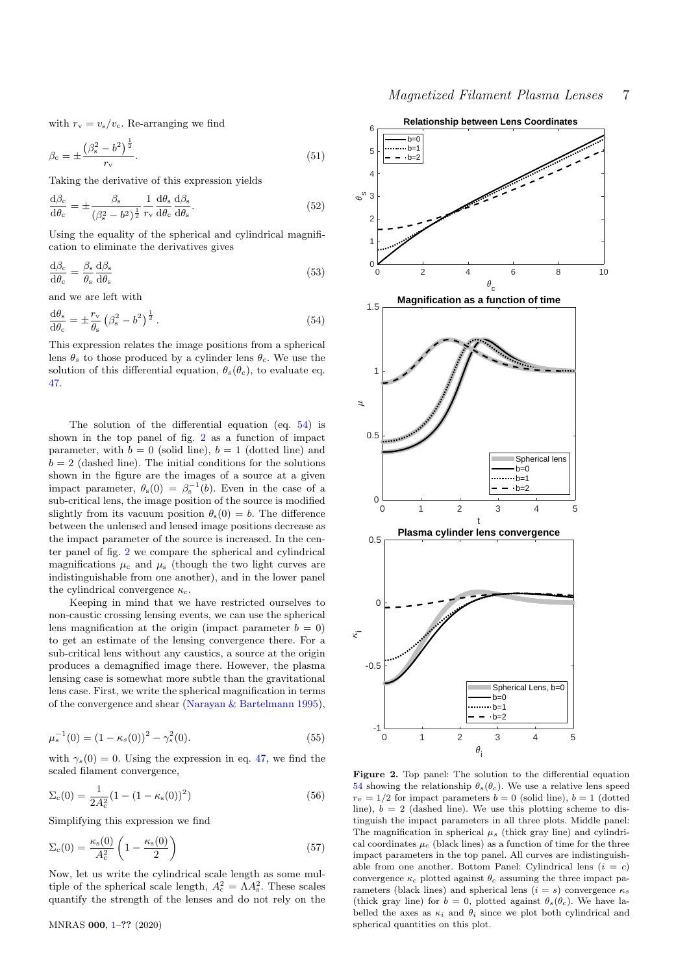with  $r_{\rm v} = v_{\rm s}/v_{\rm c}$ . Re-arranging we find

$$
\beta_{\rm c} = \pm \frac{\left(\beta_{\rm s}^2 - b^2\right)^{\frac{1}{2}}}{r_{\rm v}}.\tag{51}
$$

Taking the derivative of this expression yields

$$
\frac{\mathrm{d}\beta_{\rm c}}{\mathrm{d}\theta_{\rm c}} = \pm \frac{\beta_{\rm s}}{(\beta_{\rm s}^2 - b^2)^{\frac{1}{2}}} \frac{1}{r_{\rm v}} \frac{\mathrm{d}\theta_{\rm s}}{\mathrm{d}\theta_{\rm c}} \frac{\mathrm{d}\beta_{\rm s}}{\mathrm{d}\theta_{\rm s}}.
$$
\n(52)

Using the equality of the spherical and cylindrical magnification to eliminate the derivatives gives

$$
\frac{\mathrm{d}\beta_{\mathrm{c}}}{\mathrm{d}\theta_{\mathrm{c}}} = \frac{\beta_{\mathrm{s}}}{\theta_{\mathrm{s}}} \frac{\mathrm{d}\beta_{\mathrm{s}}}{\mathrm{d}\theta_{\mathrm{s}}}
$$
(53)

<span id="page-6-0"></span>and we are left with

$$
\frac{\mathrm{d}\theta_{\mathrm{s}}}{\mathrm{d}\theta_{\mathrm{c}}} = \pm \frac{r_{\mathrm{v}}}{\theta_{\mathrm{s}}} \left(\beta_{\mathrm{s}}^2 - b^2\right)^{\frac{1}{2}}.\tag{54}
$$

This expression relates the image positions from a spherical lens  $\theta_s$  to those produced by a cylinder lens  $\theta_c$ . We use the solution of this differential equation,  $\theta_s(\theta_c)$ , to evaluate eq. [47.](#page-5-2)

The solution of the differential equation (eq. [54\)](#page-6-0) is shown in the top panel of fig. [2](#page-6-1) as a function of impact parameter, with  $b = 0$  (solid line),  $b = 1$  (dotted line) and  $b = 2$  (dashed line). The initial conditions for the solutions shown in the figure are the images of a source at a given impact parameter,  $\theta_{s}(0) = \beta_{s}^{-1}(b)$ . Even in the case of a sub-critical lens, the image position of the source is modified slightly from its vacuum position  $\theta_s(0) = b$ . The difference between the unlensed and lensed image positions decrease as the impact parameter of the source is increased. In the center panel of fig. [2](#page-6-1) we compare the spherical and cylindrical magnifications  $\mu_c$  and  $\mu_s$  (though the two light curves are indistinguishable from one another), and in the lower panel the cylindrical convergence  $\kappa_c$ .

Keeping in mind that we have restricted ourselves to non-caustic crossing lensing events, we can use the spherical lens magnification at the origin (impact parameter  $b = 0$ ) to get an estimate of the lensing convergence there. For a sub-critical lens without any caustics, a source at the origin produces a demagnified image there. However, the plasma lensing case is somewhat more subtle than the gravitational lens case. First, we write the spherical magnification in terms of the convergence and shear [\(Narayan & Bartelmann](#page-17-30) [1995\)](#page-17-30),

<span id="page-6-1"></span>
$$
\mu_s^{-1}(0) = (1 - \kappa_s(0))^2 - \gamma_s^2(0). \tag{55}
$$

with  $\gamma_s(0) = 0$ . Using the expression in eq. [47,](#page-5-2) we find the scaled filament convergence,

$$
\Sigma_{\rm c}(0) = \frac{1}{2A_{\rm c}^2} (1 - (1 - \kappa_{\rm s}(0))^2)
$$
\n(56)

Simplifying this expression we find

$$
\Sigma_{\rm c}(0) = \frac{\kappa_{\rm s}(0)}{A_{\rm c}^2} \left(1 - \frac{\kappa_{\rm s}(0)}{2}\right) \tag{57}
$$

Now, let us write the cylindrical scale length as some multiple of the spherical scale length,  $A_c^2 = \Lambda A_s^2$ . These scales quantify the strength of the lenses and do not rely on the



Figure 2. Top panel: The solution to the differential equation [54](#page-6-0) showing the relationship  $\theta_s(\theta_c)$ . We use a relative lens speed  $r_v = 1/2$  for impact parameters  $b = 0$  (solid line),  $b = 1$  (dotted line),  $b = 2$  (dashed line). We use this plotting scheme to distinguish the impact parameters in all three plots. Middle panel: The magnification in spherical  $\mu_s$  (thick gray line) and cylindrical coordinates  $\mu_c$  (black lines) as a function of time for the three impact parameters in the top panel. All curves are indistinguishable from one another. Bottom Panel: Cylindrical lens  $(i = c)$ convergence  $\kappa_c$  plotted against  $\theta_c$  assuming the three impact parameters (black lines) and spherical lens  $(i = s)$  convergence  $\kappa_s$ (thick gray line) for  $b = 0$ , plotted against  $\theta_s(\theta_c)$ . We have labelled the axes as  $\kappa_i$  and  $\theta_i$  since we plot both cylindrical and MNRAS 000, 1-?? (2020) spherical quantities on this plot.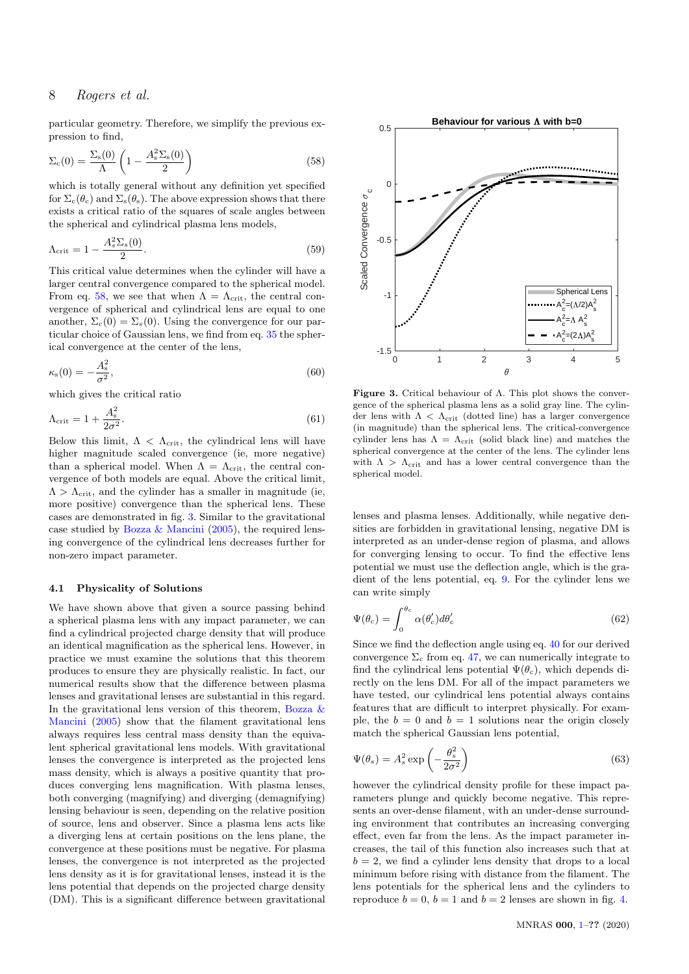<span id="page-7-0"></span>particular geometry. Therefore, we simplify the previous expression to find,

$$
\Sigma_{c}(0) = \frac{\Sigma_{s}(0)}{\Lambda} \left( 1 - \frac{A_{s}^{2} \Sigma_{s}(0)}{2} \right)
$$
\n(58)

which is totally general without any definition yet specified for  $\Sigma_c(\theta_c)$  and  $\Sigma_s(\theta_s)$ . The above expression shows that there exists a critical ratio of the squares of scale angles between the spherical and cylindrical plasma lens models,

$$
\Lambda_{\rm crit} = 1 - \frac{A_s^2 \Sigma_s(0)}{2}.
$$
\n(59)

This critical value determines when the cylinder will have a larger central convergence compared to the spherical model. From eq. [58,](#page-7-0) we see that when  $\Lambda = \Lambda_{\rm crit}$ , the central convergence of spherical and cylindrical lens are equal to one another,  $\Sigma_c(0) = \Sigma_s(0)$ . Using the convergence for our particular choice of Gaussian lens, we find from eq. [35](#page-4-2) the spherical convergence at the center of the lens,

$$
\kappa_{\rm s}(0) = -\frac{A_{\rm s}^2}{\sigma^2},\tag{60}
$$

which gives the critical ratio

$$
\Lambda_{\rm crit} = 1 + \frac{A_{\rm s}^2}{2\sigma^2}.\tag{61}
$$

Below this limit,  $\Lambda < \Lambda_{\rm crit}$ , the cylindrical lens will have higher magnitude scaled convergence (ie, more negative) than a spherical model. When  $\Lambda = \Lambda_{\rm crit}$ , the central convergence of both models are equal. Above the critical limit,  $\Lambda > \Lambda_{\rm crit}$ , and the cylinder has a smaller in magnitude (ie, more positive) convergence than the spherical lens. These cases are demonstrated in fig. [3.](#page-7-1) Similar to the gravitational case studied by Bozza  $\&$  Mancini [\(2005\)](#page-17-22), the required lensing convergence of the cylindrical lens decreases further for non-zero impact parameter.

#### 4.1 Physicality of Solutions

We have shown above that given a source passing behind a spherical plasma lens with any impact parameter, we can find a cylindrical projected charge density that will produce an identical magnification as the spherical lens. However, in practice we must examine the solutions that this theorem produces to ensure they are physically realistic. In fact, our numerical results show that the difference between plasma lenses and gravitational lenses are substantial in this regard. In the gravitational lens version of this theorem, [Bozza &](#page-17-22) [Mancini](#page-17-22) [\(2005\)](#page-17-22) show that the filament gravitational lens always requires less central mass density than the equivalent spherical gravitational lens models. With gravitational lenses the convergence is interpreted as the projected lens mass density, which is always a positive quantity that produces converging lens magnification. With plasma lenses, both converging (magnifying) and diverging (demagnifying) lensing behaviour is seen, depending on the relative position of source, lens and observer. Since a plasma lens acts like a diverging lens at certain positions on the lens plane, the convergence at these positions must be negative. For plasma lenses, the convergence is not interpreted as the projected lens density as it is for gravitational lenses, instead it is the lens potential that depends on the projected charge density (DM). This is a significant difference between gravitational



<span id="page-7-1"></span>Figure 3. Critical behaviour of Λ. This plot shows the convergence of the spherical plasma lens as a solid gray line. The cylinder lens with  $\Lambda < \Lambda_{\text{crit}}$  (dotted line) has a larger convergence (in magnitude) than the spherical lens. The critical-convergence cylinder lens has  $\Lambda = \Lambda_{\text{crit}}$  (solid black line) and matches the spherical convergence at the center of the lens. The cylinder lens with  $\Lambda > \Lambda_{\text{crit}}$  and has a lower central convergence than the spherical model.

lenses and plasma lenses. Additionally, while negative densities are forbidden in gravitational lensing, negative DM is interpreted as an under-dense region of plasma, and allows for converging lensing to occur. To find the effective lens potential we must use the deflection angle, which is the gradient of the lens potential, eq. [9.](#page-2-1) For the cylinder lens we can write simply

$$
\Psi(\theta_c) = \int_0^{\theta_c} \alpha(\theta_c') d\theta_c' \tag{62}
$$

Since we find the deflection angle using eq. [40](#page-4-5) for our derived convergence  $\Sigma_c$  from eq. [47,](#page-5-2) we can numerically integrate to find the cylindrical lens potential  $\Psi(\theta_c)$ , which depends directly on the lens DM. For all of the impact parameters we have tested, our cylindrical lens potential always contains features that are difficult to interpret physically. For example, the  $b = 0$  and  $b = 1$  solutions near the origin closely match the spherical Gaussian lens potential,

$$
\Psi(\theta_s) = A_s^2 \exp\left(-\frac{\theta_s^2}{2\sigma^2}\right) \tag{63}
$$

however the cylindrical density profile for these impact parameters plunge and quickly become negative. This represents an over-dense filament, with an under-dense surrounding environment that contributes an increasing converging effect, even far from the lens. As the impact parameter increases, the tail of this function also increases such that at  $b = 2$ , we find a cylinder lens density that drops to a local minimum before rising with distance from the filament. The lens potentials for the spherical lens and the cylinders to reproduce  $b = 0$ ,  $b = 1$  and  $b = 2$  lenses are shown in fig. [4.](#page-8-1)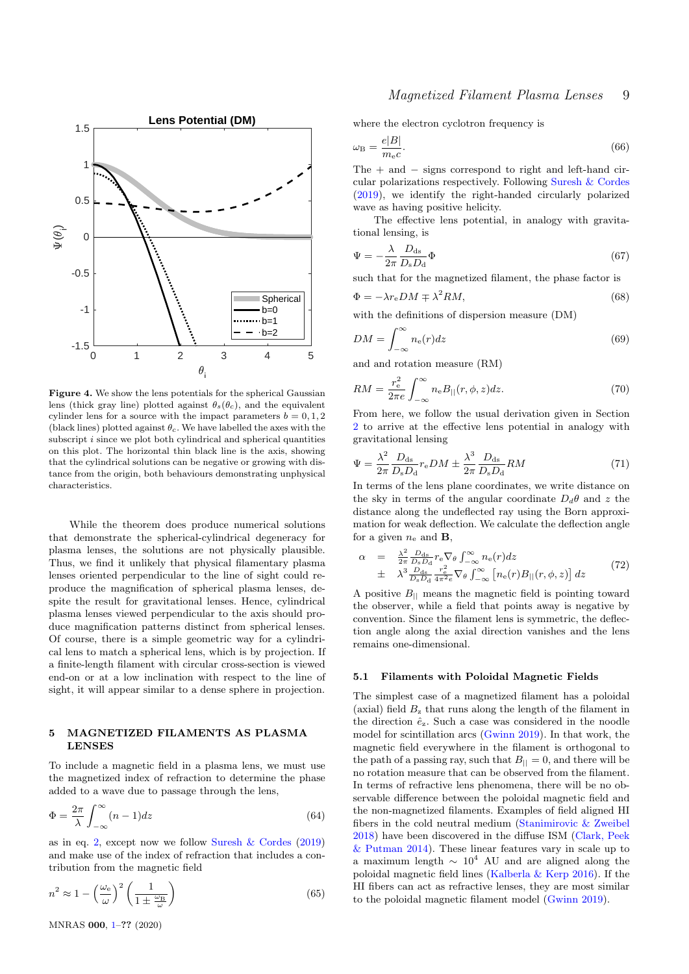

Figure 4. We show the lens potentials for the spherical Gaussian lens (thick gray line) plotted against  $\theta_s(\theta_c)$ , and the equivalent cylinder lens for a source with the impact parameters  $b = 0, 1, 2$ (black lines) plotted against  $\theta_c$ . We have labelled the axes with the subscript  $i$  since we plot both cylindrical and spherical quantities on this plot. The horizontal thin black line is the axis, showing that the cylindrical solutions can be negative or growing with distance from the origin, both behaviours demonstrating unphysical characteristics.

While the theorem does produce numerical solutions that demonstrate the spherical-cylindrical degeneracy for plasma lenses, the solutions are not physically plausible. Thus, we find it unlikely that physical filamentary plasma lenses oriented perpendicular to the line of sight could reproduce the magnification of spherical plasma lenses, despite the result for gravitational lenses. Hence, cylindrical plasma lenses viewed perpendicular to the axis should produce magnification patterns distinct from spherical lenses. Of course, there is a simple geometric way for a cylindrical lens to match a spherical lens, which is by projection. If a finite-length filament with circular cross-section is viewed end-on or at a low inclination with respect to the line of sight, it will appear similar to a dense sphere in projection.

#### <span id="page-8-0"></span>5 MAGNETIZED FILAMENTS AS PLASMA LENSES

To include a magnetic field in a plasma lens, we must use the magnetized index of refraction to determine the phase added to a wave due to passage through the lens,

$$
\Phi = \frac{2\pi}{\lambda} \int_{-\infty}^{\infty} (n-1) dz
$$
\n(64)

as in eq. [2,](#page-2-2) except now we follow Suresh  $\&$  Cordes [\(2019\)](#page-18-6) and make use of the index of refraction that includes a contribution from the magnetic field

$$
n^2 \approx 1 - \left(\frac{\omega_e}{\omega}\right)^2 \left(\frac{1}{1 \pm \frac{\omega_B}{\omega}}\right) \tag{65}
$$

where the electron cyclotron frequency is

$$
\omega_{\rm B} = \frac{e|B|}{m_{\rm e}c}.\tag{66}
$$

The  $+$  and  $-$  signs correspond to right and left-hand circular polarizations respectively. Following [Suresh & Cordes](#page-18-6) [\(2019\)](#page-18-6), we identify the right-handed circularly polarized wave as having positive helicity.

The effective lens potential, in analogy with gravitational lensing, is

$$
\Psi = -\frac{\lambda}{2\pi} \frac{D_{\rm ds}}{D_{\rm s} D_{\rm d}} \Phi \tag{67}
$$

such that for the magnetized filament, the phase factor is

$$
\Phi = -\lambda r_e DM \mp \lambda^2 RM,\tag{68}
$$

with the definitions of dispersion measure (DM)

$$
DM = \int_{-\infty}^{\infty} n_e(r) dz
$$
\n(69)

<span id="page-8-1"></span>and and rotation measure (RM)

 $\overline{R}$ 

<span id="page-8-4"></span>
$$
M = \frac{r_{\rm e}^2}{2\pi e} \int_{-\infty}^{\infty} n_{\rm e} B_{\parallel}(r,\phi,z) dz.
$$
 (70)

From here, we follow the usual derivation given in Section [2](#page-2-0) to arrive at the effective lens potential in analogy with gravitational lensing

<span id="page-8-3"></span>
$$
\Psi = \frac{\lambda^2}{2\pi} \frac{D_{\rm ds}}{D_{\rm s} D_{\rm d}} r_{\rm e} DM \pm \frac{\lambda^3}{2\pi} \frac{D_{\rm ds}}{D_{\rm s} D_{\rm d}} RM \tag{71}
$$

In terms of the lens plane coordinates, we write distance on the sky in terms of the angular coordinate  $D_d\theta$  and z the distance along the undeflected ray using the Born approximation for weak deflection. We calculate the deflection angle for a given  $n_e$  and **B**,

<span id="page-8-2"></span>
$$
\alpha = \frac{\lambda^2}{2\pi} \frac{D_{\text{ds}}}{D_{\text{s}} D_{\text{d}}} r_{\text{e}} \nabla_{\theta} \int_{-\infty}^{\infty} n_{\text{e}}(r) dz
$$
  
\n
$$
\pm \lambda^3 \frac{D_{\text{ds}}}{D_{\text{s}} D_{\text{d}}} \frac{r_{\text{e}}^2}{4\pi^2 \epsilon} \nabla_{\theta} \int_{-\infty}^{\infty} \left[ n_{\text{e}}(r) B_{||}(r, \phi, z) \right] dz
$$
 (72)

A positive  $B_{\parallel}$  means the magnetic field is pointing toward the observer, while a field that points away is negative by convention. Since the filament lens is symmetric, the deflection angle along the axial direction vanishes and the lens remains one-dimensional.

#### 5.1 Filaments with Poloidal Magnetic Fields

The simplest case of a magnetized filament has a poloidal (axial) field  $B<sub>z</sub>$  that runs along the length of the filament in the direction  $\hat{e}_z$ . Such a case was considered in the noodle model for scintillation arcs [\(Gwinn](#page-17-28) [2019\)](#page-17-28). In that work, the magnetic field everywhere in the filament is orthogonal to the path of a passing ray, such that  $B_{\parallel} = 0$ , and there will be no rotation measure that can be observed from the filament. In terms of refractive lens phenomena, there will be no observable difference between the poloidal magnetic field and the non-magnetized filaments. Examples of field aligned HI fibers in the cold neutral medium [\(Stanimirovic & Zweibel](#page-18-0) [2018\)](#page-18-0) have been discovered in the diffuse ISM [\(Clark, Peek](#page-17-31) [& Putman](#page-17-31) [2014\)](#page-17-31). These linear features vary in scale up to a maximum length  $\sim 10^4$  AU and are aligned along the poloidal magnetic field lines [\(Kalberla & Kerp](#page-17-32) [2016\)](#page-17-32). If the HI fibers can act as refractive lenses, they are most similar to the poloidal magnetic filament model [\(Gwinn](#page-17-28) [2019\)](#page-17-28).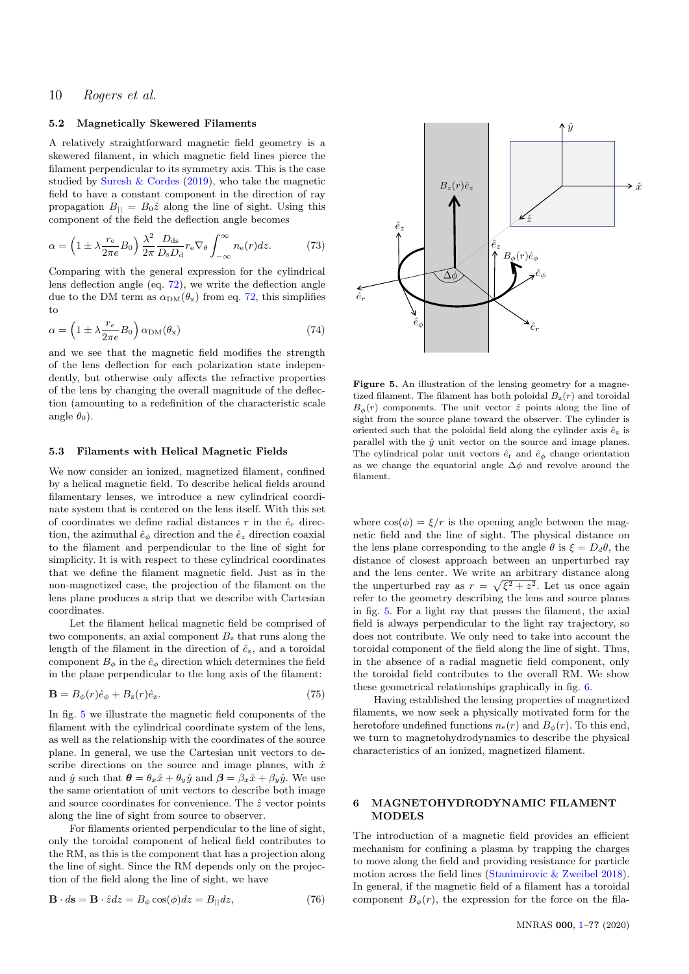## 5.2 Magnetically Skewered Filaments

A relatively straightforward magnetic field geometry is a skewered filament, in which magnetic field lines pierce the filament perpendicular to its symmetry axis. This is the case studied by [Suresh & Cordes](#page-18-6) [\(2019\)](#page-18-6), who take the magnetic field to have a constant component in the direction of ray propagation  $B_{\parallel} = B_0 \hat{z}$  along the line of sight. Using this component of the field the deflection angle becomes

$$
\alpha = \left(1 \pm \lambda \frac{r_{\rm e}}{2\pi e} B_0\right) \frac{\lambda^2}{2\pi} \frac{D_{\rm ds}}{D_{\rm s} D_{\rm d}} r_{\rm e} \nabla_{\theta} \int_{-\infty}^{\infty} n_{\rm e}(r) dz.
$$
 (73)

Comparing with the general expression for the cylindrical lens deflection angle (eq. [72\)](#page-8-2), we write the deflection angle due to the DM term as  $\alpha_{\text{DM}}(\theta_{\text{x}})$  from eq. [72,](#page-8-2) this simplifies to

$$
\alpha = \left(1 \pm \lambda \frac{r_e}{2\pi e} B_0\right) \alpha_{\rm DM}(\theta_{\rm x})\tag{74}
$$

and we see that the magnetic field modifies the strength of the lens deflection for each polarization state independently, but otherwise only affects the refractive properties of the lens by changing the overall magnitude of the deflection (amounting to a redefinition of the characteristic scale angle  $\theta_0$ ).

#### 5.3 Filaments with Helical Magnetic Fields

We now consider an ionized, magnetized filament, confined by a helical magnetic field. To describe helical fields around filamentary lenses, we introduce a new cylindrical coordinate system that is centered on the lens itself. With this set of coordinates we define radial distances r in the  $\hat{e}_r$  direction, the azimuthal  $\hat{e}_{\phi}$  direction and the  $\hat{e}_z$  direction coaxial to the filament and perpendicular to the line of sight for simplicity. It is with respect to these cylindrical coordinates that we define the filament magnetic field. Just as in the non-magnetized case, the projection of the filament on the lens plane produces a strip that we describe with Cartesian coordinates.

Let the filament helical magnetic field be comprised of two components, an axial component  $B<sub>z</sub>$  that runs along the length of the filament in the direction of  $\hat{e}_z$ , and a toroidal component  $B_{\phi}$  in the  $\hat{e}_{\phi}$  direction which determines the field in the plane perpendicular to the long axis of the filament:

$$
\mathbf{B} = B_{\phi}(r)\hat{e}_{\phi} + B_{z}(r)\hat{e}_{z}.
$$
\n(75)

In fig. [5](#page-9-1) we illustrate the magnetic field components of the filament with the cylindrical coordinate system of the lens, as well as the relationship with the coordinates of the source plane. In general, we use the Cartesian unit vectors to describe directions on the source and image planes, with  $\hat{x}$ and  $\hat{y}$  such that  $\theta = \theta_x \hat{x} + \theta_y \hat{y}$  and  $\beta = \beta_x \hat{x} + \beta_y \hat{y}$ . We use the same orientation of unit vectors to describe both image and source coordinates for convenience. The  $\hat{z}$  vector points along the line of sight from source to observer.

For filaments oriented perpendicular to the line of sight, only the toroidal component of helical field contributes to the RM, as this is the component that has a projection along the line of sight. Since the RM depends only on the projection of the field along the line of sight, we have

$$
\mathbf{B} \cdot d\mathbf{s} = \mathbf{B} \cdot \hat{z} dz = B_{\phi} \cos(\phi) dz = B_{||} dz, \tag{76}
$$



<span id="page-9-1"></span>Figure 5. An illustration of the lensing geometry for a magnetized filament. The filament has both poloidal  $B_{z}(r)$  and toroidal  $B_{\phi}(r)$  components. The unit vector  $\hat{z}$  points along the line of sight from the source plane toward the observer. The cylinder is oriented such that the poloidal field along the cylinder axis  $\hat{e}_z$  is parallel with the  $\hat{y}$  unit vector on the source and image planes. The cylindrical polar unit vectors  $\hat{e}_r$  and  $\hat{e}_\phi$  change orientation as we change the equatorial angle  $\Delta\phi$  and revolve around the filament.

where  $\cos(\phi) = \xi/r$  is the opening angle between the magnetic field and the line of sight. The physical distance on the lens plane corresponding to the angle  $\theta$  is  $\xi = D_d\theta$ , the distance of closest approach between an unperturbed ray and the lens center. We write an arbitrary distance along the unperturbed ray as  $r = \sqrt{\xi^2 + z^2}$ . Let us once again refer to the geometry describing the lens and source planes in fig. [5.](#page-9-1) For a light ray that passes the filament, the axial field is always perpendicular to the light ray trajectory, so does not contribute. We only need to take into account the toroidal component of the field along the line of sight. Thus, in the absence of a radial magnetic field component, only the toroidal field contributes to the overall RM. We show these geometrical relationships graphically in fig. [6.](#page-10-0)

Having established the lensing properties of magnetized filaments, we now seek a physically motivated form for the heretofore undefined functions  $n_e(r)$  and  $B_\phi(r)$ . To this end, we turn to magnetohydrodynamics to describe the physical characteristics of an ionized, magnetized filament.

## <span id="page-9-0"></span>6 MAGNETOHYDRODYNAMIC FILAMENT **MODELS**

The introduction of a magnetic field provides an efficient mechanism for confining a plasma by trapping the charges to move along the field and providing resistance for particle motion across the field lines [\(Stanimirovic & Zweibel](#page-18-0) [2018\)](#page-18-0). In general, if the magnetic field of a filament has a toroidal component  $B_{\phi}(r)$ , the expression for the force on the fila-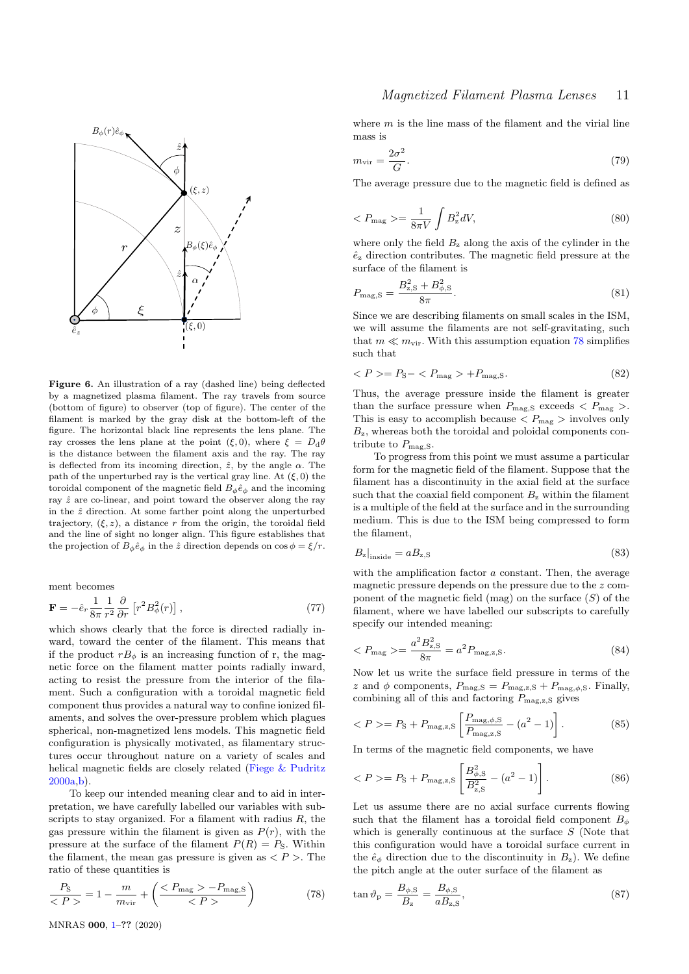

<span id="page-10-0"></span>Figure 6. An illustration of a ray (dashed line) being deflected by a magnetized plasma filament. The ray travels from source (bottom of figure) to observer (top of figure). The center of the filament is marked by the gray disk at the bottom-left of the figure. The horizontal black line represents the lens plane. The ray crosses the lens plane at the point  $(\xi, 0)$ , where  $\xi = D_d \theta$ is the distance between the filament axis and the ray. The ray is deflected from its incoming direction,  $\hat{z}$ , by the angle  $\alpha$ . The path of the unperturbed ray is the vertical gray line. At  $(\xi, 0)$  the toroidal component of the magnetic field  $B_{\phi} \hat{e}_{\phi}$  and the incoming ray  $\hat{z}$  are co-linear, and point toward the observer along the ray in the  $\hat{z}$  direction. At some farther point along the unperturbed trajectory,  $(\xi, z)$ , a distance r from the origin, the toroidal field and the line of sight no longer align. This figure establishes that the projection of  $B_{\phi}\hat{e}_{\phi}$  in the  $\hat{z}$  direction depends on  $\cos \phi = \xi/r$ .

ment becomes

$$
\mathbf{F} = -\hat{e}_r \frac{1}{8\pi} \frac{1}{r^2} \frac{\partial}{\partial r} \left[ r^2 B_\phi^2(r) \right],\tag{77}
$$

which shows clearly that the force is directed radially inward, toward the center of the filament. This means that if the product  $rB_{\phi}$  is an increasing function of r, the magnetic force on the filament matter points radially inward, acting to resist the pressure from the interior of the filament. Such a configuration with a toroidal magnetic field component thus provides a natural way to confine ionized filaments, and solves the over-pressure problem which plagues spherical, non-magnetized lens models. This magnetic field configuration is physically motivated, as filamentary structures occur throughout nature on a variety of scales and helical magnetic fields are closely related [\(Fiege & Pudritz](#page-17-33) [2000a,](#page-17-33)[b\)](#page-17-34).

To keep our intended meaning clear and to aid in interpretation, we have carefully labelled our variables with subscripts to stay organized. For a filament with radius  $R$ , the gas pressure within the filament is given as  $P(r)$ , with the pressure at the surface of the filament  $P(R) = P<sub>S</sub>$ . Within the filament, the mean gas pressure is given as  $\langle P \rangle$ . The ratio of these quantities is

<span id="page-10-1"></span>
$$
\frac{P_{\rm S}}{P} = 1 - \frac{m}{m_{\rm vir}} + \left(\frac{P_{\rm mag} > -P_{\rm mag,S}}{P} \right) \tag{78}
$$

where  $m$  is the line mass of the filament and the virial line mass is

$$
m_{\rm vir} = \frac{2\sigma^2}{G}.\tag{79}
$$

The average pressure due to the magnetic field is defined as

$$
\langle P_{\text{mag}} \rangle = \frac{1}{8\pi V} \int B_z^2 dV,\tag{80}
$$

where only the field  $B_z$  along the axis of the cylinder in the  $\hat{e}_z$  direction contributes. The magnetic field pressure at the surface of the filament is

$$
P_{\text{mag},\text{S}} = \frac{B_{\text{z},\text{S}}^2 + B_{\phi,\text{S}}^2}{8\pi}.
$$
\n(81)

Since we are describing filaments on small scales in the ISM, we will assume the filaments are not self-gravitating, such that  $m \ll m_{\rm vir}$ . With this assumption equation [78](#page-10-1) simplifies such that

<span id="page-10-2"></span>
$$
\langle P \rangle = P_{\rm S} - \langle P_{\rm mag} \rangle + P_{\rm mag, S}.\tag{82}
$$

Thus, the average pressure inside the filament is greater than the surface pressure when  $P_{\text{mag,S}}$  exceeds  $\langle P_{\text{mag}} \rangle$ . This is easy to accomplish because  $\langle P_{\text{mag}} \rangle$  involves only  $B_{z}$ , whereas both the toroidal and poloidal components contribute to  $P_{\text{mag},S}$ .

To progress from this point we must assume a particular form for the magnetic field of the filament. Suppose that the filament has a discontinuity in the axial field at the surface such that the coaxial field component  $B<sub>z</sub>$  within the filament is a multiple of the field at the surface and in the surrounding medium. This is due to the ISM being compressed to form the filament,

$$
B_{z}|_{\text{inside}} = a_{z,\text{S}} \tag{83}
$$

with the amplification factor  $a$  constant. Then, the average magnetic pressure depends on the pressure due to the z component of the magnetic field (mag) on the surface  $(S)$  of the filament, where we have labelled our subscripts to carefully specify our intended meaning:

$$
\langle P_{\text{mag}} \rangle = \frac{a^2 B_{\text{z},\text{S}}^2}{8\pi} = a^2 P_{\text{mag,z},\text{S}}.\tag{84}
$$

Now let us write the surface field pressure in terms of the z and  $\phi$  components,  $P_{\text{mag,S}} = P_{\text{mag,z,S}} + P_{\text{mag},\phi,\text{S}}$ . Finally, combining all of this and factoring  $P_{\text{mag,z,S}}$  gives

$$
\langle P \rangle = P_{\rm S} + P_{\rm mag,z,S} \left[ \frac{P_{\rm mag,\phi,S}}{P_{\rm mag,z,S}} - (a^2 - 1) \right]. \tag{85}
$$

In terms of the magnetic field components, we have

$$
\langle P \rangle = P_{\rm S} + P_{\rm mag,z,S} \left[ \frac{B_{\phi,{\rm S}}^2}{B_{\rm z,S}^2} - (a^2 - 1) \right]. \tag{86}
$$

Let us assume there are no axial surface currents flowing such that the filament has a toroidal field component  $B_{\phi}$ which is generally continuous at the surface  $S$  (Note that this configuration would have a toroidal surface current in the  $\hat{e}_{\phi}$  direction due to the discontinuity in  $B_{z}$ ). We define the pitch angle at the outer surface of the filament as

$$
\tan \vartheta_{\rm p} = \frac{B_{\phi, \rm S}}{B_{\rm z}} = \frac{B_{\phi, \rm S}}{a B_{\rm z, \rm S}},\tag{87}
$$

MNRAS 000, [1–](#page-0-0)?? (2020)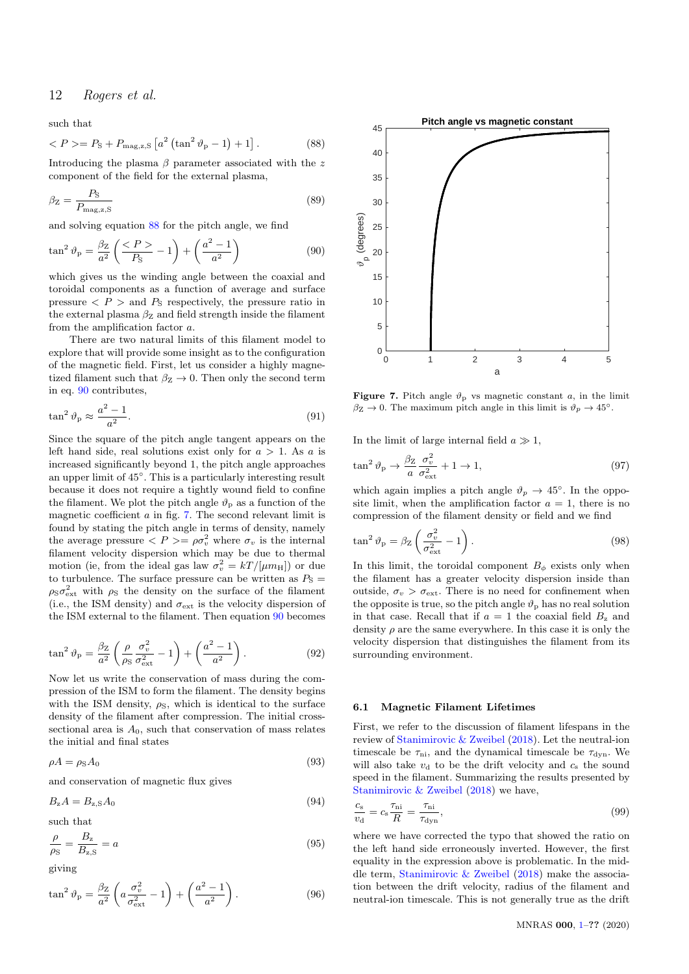<span id="page-11-0"></span>such that

$$
\langle P \rangle = P_{\rm S} + P_{\rm mag,z,S} \left[ a^2 \left( \tan^2 \vartheta_{\rm p} - 1 \right) + 1 \right]. \tag{88}
$$

Introducing the plasma  $\beta$  parameter associated with the z component of the field for the external plasma,

$$
\beta_{\rm Z} = \frac{P_{\rm S}}{P_{\rm mag,z,S}}\tag{89}
$$

and solving equation [88](#page-11-0) for the pitch angle, we find

$$
\tan^2 \vartheta_p = \frac{\beta_Z}{a^2} \left( \frac{\langle P \rangle}{P_{\rm S}} - 1 \right) + \left( \frac{a^2 - 1}{a^2} \right) \tag{90}
$$

which gives us the winding angle between the coaxial and toroidal components as a function of average and surface pressure  $\langle P \rangle$  and  $P_{\rm S}$  respectively, the pressure ratio in the external plasma  $\beta_{\rm Z}$  and field strength inside the filament from the amplification factor a.

There are two natural limits of this filament model to explore that will provide some insight as to the configuration of the magnetic field. First, let us consider a highly magnetized filament such that  $\beta_Z \to 0$ . Then only the second term in eq. [90](#page-11-1) contributes,

$$
\tan^2 \vartheta_p \approx \frac{a^2 - 1}{a^2}.\tag{91}
$$

Since the square of the pitch angle tangent appears on the left hand side, real solutions exist only for  $a > 1$ . As a is increased significantly beyond 1, the pitch angle approaches an upper limit of 45◦ . This is a particularly interesting result because it does not require a tightly wound field to confine the filament. We plot the pitch angle  $\vartheta_{\rm p}$  as a function of the magnetic coefficient  $a$  in fig. [7.](#page-11-2) The second relevant limit is found by stating the pitch angle in terms of density, namely the average pressure  $\langle P \rangle = \rho \sigma_v^2$  where  $\sigma_v$  is the internal filament velocity dispersion which may be due to thermal motion (ie, from the ideal gas law  $\sigma_v^2 = kT/[\mu m_H]$ ) or due to turbulence. The surface pressure can be written as  $P_{\rm S}$  =  $\rho_S \sigma_{\text{ext}}^2$  with  $\rho_S$  the density on the surface of the filament (i.e., the ISM density) and  $\sigma_{\text{ext}}$  is the velocity dispersion of the ISM external to the filament. Then equation [90](#page-11-1) becomes

$$
\tan^2 \vartheta_p = \frac{\beta_Z}{a^2} \left( \frac{\rho}{\rho_S} \frac{\sigma_v^2}{\sigma_{\text{ext}}^2} - 1 \right) + \left( \frac{a^2 - 1}{a^2} \right). \tag{92}
$$

Now let us write the conservation of mass during the compression of the ISM to form the filament. The density begins with the ISM density,  $\rho_{\rm S}$ , which is identical to the surface density of the filament after compression. The initial crosssectional area is  $A_0$ , such that conservation of mass relates the initial and final states

$$
\rho A = \rho_{\rm S} A_0 \tag{93}
$$

and conservation of magnetic flux gives

$$
B_{z}A = B_{z,S}A_{0}
$$
\n<sup>(94)</sup>

<span id="page-11-4"></span>such that

$$
\frac{\rho}{\rho_{\rm S}} = \frac{B_{\rm z}}{B_{\rm z,S}} = a \tag{95}
$$

giving

$$
\tan^2 \vartheta_p = \frac{\beta_Z}{a^2} \left( a \frac{\sigma_v^2}{\sigma_{\text{ext}}^2} - 1 \right) + \left( \frac{a^2 - 1}{a^2} \right). \tag{96}
$$

<span id="page-11-1"></span>

<span id="page-11-2"></span>**Figure 7.** Pitch angle  $\vartheta_{\text{p}}$  vs magnetic constant a, in the limit  $\beta_{\rm Z} \rightarrow 0$ . The maximum pitch angle in this limit is  $\vartheta_p \rightarrow 45^\circ$ .

In the limit of large internal field  $a \gg 1$ ,

$$
\tan^2 \vartheta_p \to \frac{\beta_Z}{a} \frac{\sigma_v^2}{\sigma_{\text{ext}}^2} + 1 \to 1,\tag{97}
$$

which again implies a pitch angle  $\vartheta_p \to 45^\circ$ . In the opposite limit, when the amplification factor  $a = 1$ , there is no compression of the filament density or field and we find

$$
\tan^2 \vartheta_p = \beta_Z \left( \frac{\sigma_v^2}{\sigma_{\text{ext}}^2} - 1 \right). \tag{98}
$$

In this limit, the toroidal component  $B_{\phi}$  exists only when the filament has a greater velocity dispersion inside than outside,  $\sigma_v > \sigma_{\text{ext}}$ . There is no need for confinement when the opposite is true, so the pitch angle  $\vartheta_{\rm p}$  has no real solution in that case. Recall that if  $a = 1$  the coaxial field  $B_z$  and density  $\rho$  are the same everywhere. In this case it is only the velocity dispersion that distinguishes the filament from its surrounding environment.

#### <span id="page-11-5"></span>6.1 Magnetic Filament Lifetimes

First, we refer to the discussion of filament lifespans in the review of [Stanimirovic & Zweibel](#page-18-0) [\(2018\)](#page-18-0). Let the neutral-ion timescale be  $\tau_{ni}$ , and the dynamical timescale be  $\tau_{dyn}$ . We will also take  $v_d$  to be the drift velocity and  $c_s$  the sound speed in the filament. Summarizing the results presented by [Stanimirovic & Zweibel](#page-18-0) [\(2018\)](#page-18-0) we have,

<span id="page-11-3"></span>
$$
\frac{c_{\rm s}}{v_{\rm d}} = c_{\rm s} \frac{\tau_{\rm ni}}{R} = \frac{\tau_{\rm ni}}{\tau_{\rm dyn}},\tag{99}
$$

where we have corrected the typo that showed the ratio on the left hand side erroneously inverted. However, the first equality in the expression above is problematic. In the middle term, [Stanimirovic & Zweibel](#page-18-0) [\(2018\)](#page-18-0) make the association between the drift velocity, radius of the filament and neutral-ion timescale. This is not generally true as the drift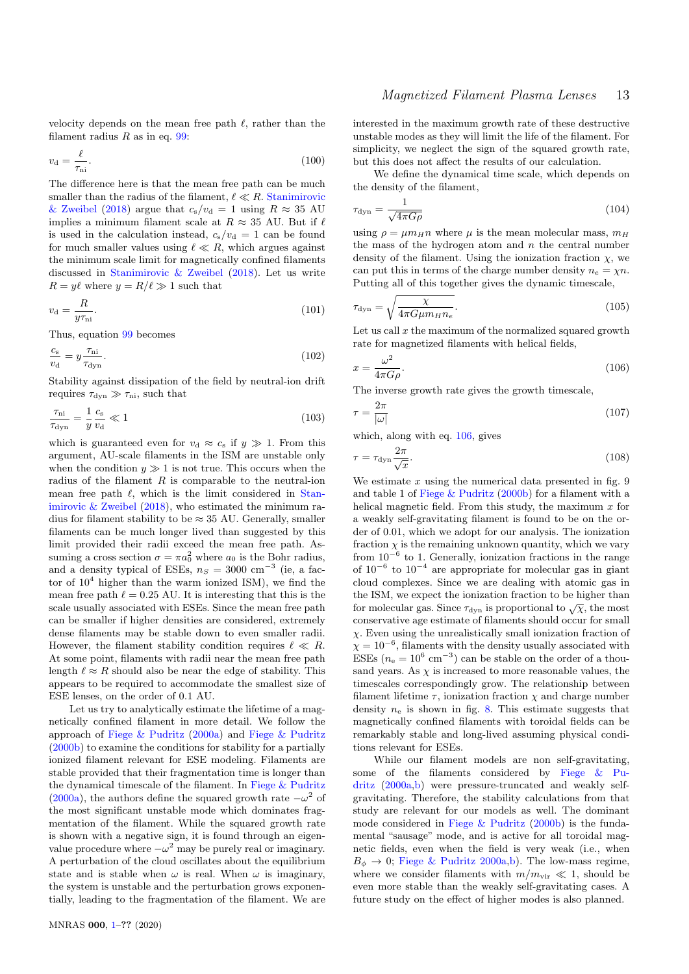velocity depends on the mean free path  $\ell$ , rather than the filament radius  $R$  as in eq. [99:](#page-11-3)

$$
v_{\rm d} = \frac{\ell}{\tau_{\rm ni}}.\tag{100}
$$

The difference here is that the mean free path can be much smaller than the radius of the filament,  $\ell \ll R$ . [Stanimirovic](#page-18-0) [& Zweibel](#page-18-0) [\(2018\)](#page-18-0) argue that  $c_s/v_d = 1$  using  $R \approx 35$  AU implies a minimum filament scale at  $R \approx 35$  AU. But if  $\ell$ is used in the calculation instead,  $c_s/v_d = 1$  can be found for much smaller values using  $\ell \ll R$ , which argues against the minimum scale limit for magnetically confined filaments discussed in [Stanimirovic & Zweibel](#page-18-0) [\(2018\)](#page-18-0). Let us write  $R = y\ell$  where  $y = R/\ell \gg 1$  such that

$$
v_{\rm d} = \frac{R}{y\tau_{\rm ni}}.\tag{101}
$$

Thus, equation [99](#page-11-3) becomes

$$
\frac{c_{\rm s}}{v_{\rm d}} = y \frac{\tau_{\rm ni}}{\tau_{\rm dyn}}.\tag{102}
$$

Stability against dissipation of the field by neutral-ion drift requires  $\tau_{\text{dyn}} \gg \tau_{\text{ni}}$ , such that

$$
\frac{\tau_{\rm ni}}{\tau_{\rm dyn}} = \frac{1}{y} \frac{c_{\rm s}}{v_{\rm d}} \ll 1\tag{103}
$$

which is guaranteed even for  $v_d \approx c_s$  if  $y \gg 1$ . From this argument, AU-scale filaments in the ISM are unstable only when the condition  $y \gg 1$  is not true. This occurs when the radius of the filament  $R$  is comparable to the neutral-ion mean free path  $\ell$ , which is the limit considered in [Stan](#page-18-0)[imirovic & Zweibel](#page-18-0) [\(2018\)](#page-18-0), who estimated the minimum radius for filament stability to be  $\approx 35$  AU. Generally, smaller filaments can be much longer lived than suggested by this limit provided their radii exceed the mean free path. Assuming a cross section  $\sigma = \pi a_0^2$  where  $a_0$  is the Bohr radius, and a density typical of ESEs,  $n_S = 3000 \text{ cm}^{-3}$  (ie, a factor of  $10^4$  higher than the warm ionized ISM), we find the mean free path  $\ell = 0.25$  AU. It is interesting that this is the scale usually associated with ESEs. Since the mean free path can be smaller if higher densities are considered, extremely dense filaments may be stable down to even smaller radii. However, the filament stability condition requires  $\ell \ll R$ . At some point, filaments with radii near the mean free path length  $\ell \approx R$  should also be near the edge of stability. This appears to be required to accommodate the smallest size of ESE lenses, on the order of 0.1 AU.

Let us try to analytically estimate the lifetime of a magnetically confined filament in more detail. We follow the approach of [Fiege & Pudritz](#page-17-33) [\(2000a\)](#page-17-33) and [Fiege & Pudritz](#page-17-34) [\(2000b\)](#page-17-34) to examine the conditions for stability for a partially ionized filament relevant for ESE modeling. Filaments are stable provided that their fragmentation time is longer than the dynamical timescale of the filament. In [Fiege & Pudritz](#page-17-33) [\(2000a\)](#page-17-33), the authors define the squared growth rate  $-\omega^2$  of the most significant unstable mode which dominates fragmentation of the filament. While the squared growth rate is shown with a negative sign, it is found through an eigenvalue procedure where  $-\omega^2$  may be purely real or imaginary. A perturbation of the cloud oscillates about the equilibrium state and is stable when  $\omega$  is real. When  $\omega$  is imaginary, the system is unstable and the perturbation grows exponentially, leading to the fragmentation of the filament. We are

# Magnetized Filament Plasma Lenses 13

interested in the maximum growth rate of these destructive unstable modes as they will limit the life of the filament. For simplicity, we neglect the sign of the squared growth rate, but this does not affect the results of our calculation.

We define the dynamical time scale, which depends on the density of the filament,

$$
\tau_{\rm dyn} = \frac{1}{\sqrt{4\pi G\rho}}\tag{104}
$$

using  $\rho = \mu m_H n$  where  $\mu$  is the mean molecular mass,  $m_H$ the mass of the hydrogen atom and  $n$  the central number density of the filament. Using the ionization fraction  $\chi$ , we can put this in terms of the charge number density  $n_e = \chi n$ . Putting all of this together gives the dynamic timescale,

$$
\tau_{\rm dyn} = \sqrt{\frac{\chi}{4\pi G \mu m_H n_e}}.\tag{105}
$$

<span id="page-12-0"></span>Let us call  $x$  the maximum of the normalized squared growth rate for magnetized filaments with helical fields,

$$
x = \frac{\omega^2}{4\pi G\rho}.\tag{106}
$$

The inverse growth rate gives the growth timescale,

$$
\tau = \frac{2\pi}{|\omega|} \tag{107}
$$

which, along with eq. [106,](#page-12-0) gives

$$
\tau = \tau_{\rm dyn} \frac{2\pi}{\sqrt{x}}.\tag{108}
$$

We estimate  $x$  using the numerical data presented in fig. 9 and table 1 of [Fiege & Pudritz](#page-17-34) [\(2000b\)](#page-17-34) for a filament with a helical magnetic field. From this study, the maximum  $x$  for a weakly self-gravitating filament is found to be on the order of 0.01, which we adopt for our analysis. The ionization fraction  $\chi$  is the remaining unknown quantity, which we vary from  $10^{-6}$  to 1. Generally, ionization fractions in the range of  $10^{-6}$  to  $10^{-4}$  are appropriate for molecular gas in giant cloud complexes. Since we are dealing with atomic gas in the ISM, we expect the ionization fraction to be higher than for molecular gas. Since  $\tau_{dyn}$  is proportional to  $\sqrt{\chi}$ , the most conservative age estimate of filaments should occur for small  $\chi$ . Even using the unrealistically small ionization fraction of  $\chi = 10^{-6}$ , filaments with the density usually associated with ESEs ( $n_e = 10^6$  cm<sup>-3</sup>) can be stable on the order of a thousand years. As  $\chi$  is increased to more reasonable values, the timescales correspondingly grow. The relationship between filament lifetime  $\tau$ , ionization fraction  $\chi$  and charge number density  $n_e$  is shown in fig. [8.](#page-13-1) This estimate suggests that magnetically confined filaments with toroidal fields can be remarkably stable and long-lived assuming physical conditions relevant for ESEs.

While our filament models are non self-gravitating, some of the filaments considered by [Fiege & Pu](#page-17-33)[dritz](#page-17-33) [\(2000a](#page-17-33)[,b\)](#page-17-34) were pressure-truncated and weakly selfgravitating. Therefore, the stability calculations from that study are relevant for our models as well. The dominant mode considered in [Fiege & Pudritz](#page-17-34) [\(2000b\)](#page-17-34) is the fundamental "sausage" mode, and is active for all toroidal magnetic fields, even when the field is very weak (i.e., when  $B_{\phi} \rightarrow 0$ ; [Fiege & Pudritz](#page-17-33) [2000a](#page-17-33)[,b\)](#page-17-34). The low-mass regime, where we consider filaments with  $m/m_{\text{vir}} \ll 1$ , should be even more stable than the weakly self-gravitating cases. A future study on the effect of higher modes is also planned.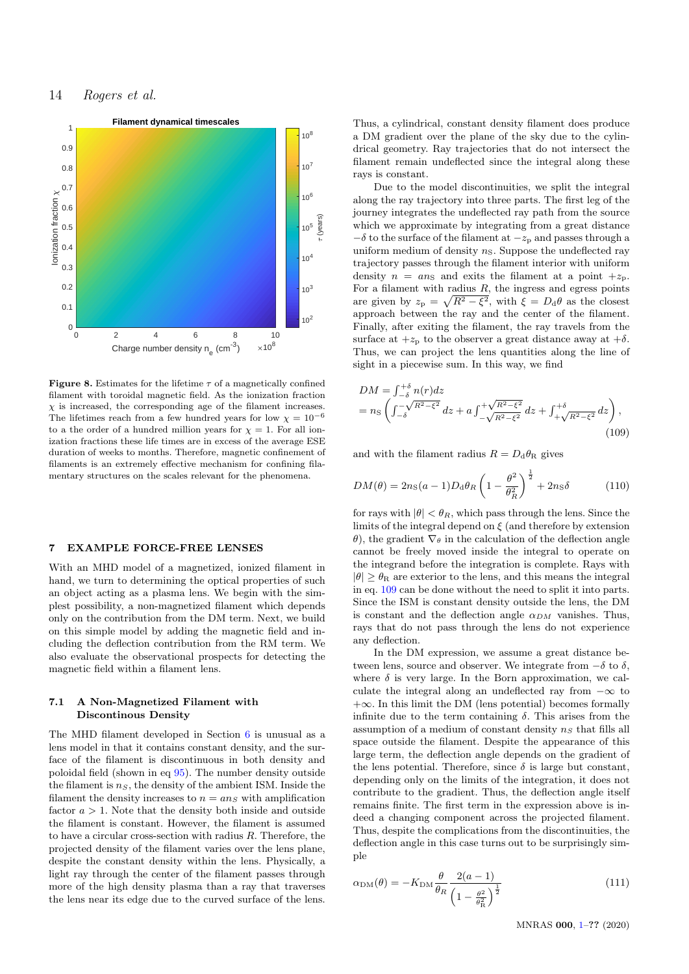

<span id="page-13-1"></span>**Figure 8.** Estimates for the lifetime  $\tau$  of a magnetically confined filament with toroidal magnetic field. As the ionization fraction  $\chi$  is increased, the corresponding age of the filament increases. The lifetimes reach from a few hundred years for low  $\chi = 10^{-6}$ to a the order of a hundred million years for  $\chi = 1$ . For all ionization fractions these life times are in excess of the average ESE duration of weeks to months. Therefore, magnetic confinement of filaments is an extremely effective mechanism for confining filamentary structures on the scales relevant for the phenomena.

#### <span id="page-13-0"></span>7 EXAMPLE FORCE-FREE LENSES

With an MHD model of a magnetized, ionized filament in hand, we turn to determining the optical properties of such an object acting as a plasma lens. We begin with the simplest possibility, a non-magnetized filament which depends only on the contribution from the DM term. Next, we build on this simple model by adding the magnetic field and including the deflection contribution from the RM term. We also evaluate the observational prospects for detecting the magnetic field within a filament lens.

#### 7.1 A Non-Magnetized Filament with Discontinous Density

The MHD filament developed in Section [6](#page-9-0) is unusual as a lens model in that it contains constant density, and the surface of the filament is discontinuous in both density and poloidal field (shown in eq [95\)](#page-11-4). The number density outside the filament is  $n<sub>S</sub>$ , the density of the ambient ISM. Inside the filament the density increases to  $n = an<sub>S</sub>$  with amplification factor  $a > 1$ . Note that the density both inside and outside the filament is constant. However, the filament is assumed to have a circular cross-section with radius R. Therefore, the projected density of the filament varies over the lens plane, despite the constant density within the lens. Physically, a light ray through the center of the filament passes through more of the high density plasma than a ray that traverses the lens near its edge due to the curved surface of the lens.

Thus, a cylindrical, constant density filament does produce a DM gradient over the plane of the sky due to the cylindrical geometry. Ray trajectories that do not intersect the filament remain undeflected since the integral along these rays is constant.

Due to the model discontinuities, we split the integral along the ray trajectory into three parts. The first leg of the journey integrates the undeflected ray path from the source which we approximate by integrating from a great distance  $-\delta$  to the surface of the filament at  $-z_p$  and passes through a uniform medium of density  $n<sub>S</sub>$ . Suppose the undeflected ray trajectory passes through the filament interior with uniform density  $n = an_s$  and exits the filament at a point  $+z_p$ . For a filament with radius  $R$ , the ingress and egress points are given by  $z_p = \sqrt{R^2 - \xi^2}$ , with  $\xi = D_d \theta$  as the closest approach between the ray and the center of the filament. Finally, after exiting the filament, the ray travels from the surface at  $+z_p$  to the observer a great distance away at  $+\delta$ . Thus, we can project the lens quantities along the line of sight in a piecewise sum. In this way, we find

<span id="page-13-2"></span>
$$
DM = \int_{-\delta}^{+\delta} n(r)dz
$$
  
=  $n_S \left( \int_{-\delta}^{-\sqrt{R^2 - \xi^2}} dz + a \int_{-\sqrt{R^2 - \xi^2}}^{+\sqrt{R^2 - \xi^2}} dz + \int_{+\sqrt{R^2 - \xi^2}}^{+\delta} dz \right),$  (109)

and with the filament radius  $R = D_d \theta_R$  gives

$$
DM(\theta) = 2n_S(a-1)D_d\theta_R \left(1 - \frac{\theta^2}{\theta_R^2}\right)^{\frac{1}{2}} + 2n_S\delta \tag{110}
$$

for rays with  $|\theta| < \theta_R$ , which pass through the lens. Since the limits of the integral depend on  $\xi$  (and therefore by extension θ), the gradient  $\nabla_{\theta}$  in the calculation of the deflection angle cannot be freely moved inside the integral to operate on the integrand before the integration is complete. Rays with  $|\theta| > \theta_R$  are exterior to the lens, and this means the integral in eq. [109](#page-13-2) can be done without the need to split it into parts. Since the ISM is constant density outside the lens, the DM is constant and the deflection angle  $\alpha_{DM}$  vanishes. Thus, rays that do not pass through the lens do not experience any deflection.

In the DM expression, we assume a great distance between lens, source and observer. We integrate from  $-\delta$  to  $\delta$ , where  $\delta$  is very large. In the Born approximation, we calculate the integral along an undeflected ray from  $-\infty$  to  $+\infty$ . In this limit the DM (lens potential) becomes formally infinite due to the term containing  $\delta$ . This arises from the assumption of a medium of constant density  $n<sub>S</sub>$  that fills all space outside the filament. Despite the appearance of this large term, the deflection angle depends on the gradient of the lens potential. Therefore, since  $\delta$  is large but constant, depending only on the limits of the integration, it does not contribute to the gradient. Thus, the deflection angle itself remains finite. The first term in the expression above is indeed a changing component across the projected filament. Thus, despite the complications from the discontinuities, the deflection angle in this case turns out to be surprisingly simple

<span id="page-13-3"></span>
$$
\alpha_{\rm DM}(\theta) = -K_{\rm DM} \frac{\theta}{\theta_R} \frac{2(a-1)}{\left(1 - \frac{\theta^2}{\theta_R^2}\right)^{\frac{1}{2}}} \tag{111}
$$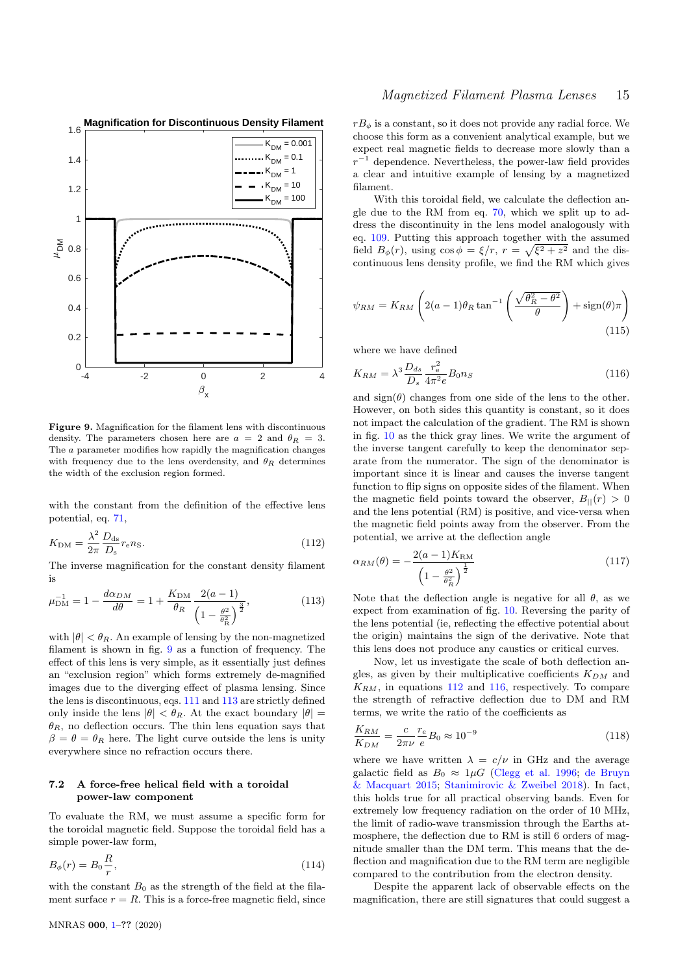

<span id="page-14-0"></span>Figure 9. Magnification for the filament lens with discontinuous density. The parameters chosen here are  $a = 2$  and  $\theta_R = 3$ . The a parameter modifies how rapidly the magnification changes with frequency due to the lens overdensity, and  $\theta_R$  determines the width of the exclusion region formed.

<span id="page-14-2"></span>with the constant from the definition of the effective lens potential, eq. [71,](#page-8-3)

$$
K_{\rm DM} = \frac{\lambda^2}{2\pi} \frac{D_{\rm ds}}{D_{\rm s}} r_{\rm e} n_{\rm S}.
$$
\n(112)

<span id="page-14-1"></span>The inverse magnification for the constant density filament is

$$
\mu_{\rm DM}^{-1} = 1 - \frac{d\alpha_{DM}}{d\theta} = 1 + \frac{K_{\rm DM}}{\theta_R} \frac{2(a-1)}{\left(1 - \frac{\theta^2}{\theta_R^2}\right)^{\frac{3}{2}}},\tag{113}
$$

with  $|\theta| < \theta_R$ . An example of lensing by the non-magnetized filament is shown in fig. [9](#page-14-0) as a function of frequency. The effect of this lens is very simple, as it essentially just defines an "exclusion region" which forms extremely de-magnified images due to the diverging effect of plasma lensing. Since the lens is discontinuous, eqs. [111](#page-13-3) and [113](#page-14-1) are strictly defined only inside the lens  $|\theta| < \theta_R$ . At the exact boundary  $|\theta|$  =  $\theta_R$ , no deflection occurs. The thin lens equation says that  $\beta = \theta = \theta_R$  here. The light curve outside the lens is unity everywhere since no refraction occurs there.

## 7.2 A force-free helical field with a toroidal power-law component

To evaluate the RM, we must assume a specific form for the toroidal magnetic field. Suppose the toroidal field has a simple power-law form,

$$
B_{\phi}(r) = B_0 \frac{R}{r},\tag{114}
$$

with the constant  $B_0$  as the strength of the field at the filament surface  $r = R$ . This is a force-free magnetic field, since

 $rB_{\phi}$  is a constant, so it does not provide any radial force. We choose this form as a convenient analytical example, but we expect real magnetic fields to decrease more slowly than a  $r^{-1}$  dependence. Nevertheless, the power-law field provides a clear and intuitive example of lensing by a magnetized filament.

With this toroidal field, we calculate the deflection angle due to the RM from eq. [70,](#page-8-4) which we split up to address the discontinuity in the lens model analogously with eq. [109.](#page-13-2) Putting this approach together with the assumed field  $B_{\phi}(r)$ , using  $\cos \phi = \xi/r$ ,  $r = \sqrt{\xi^2 + z^2}$  and the discontinuous lens density profile, we find the RM which gives

$$
\psi_{RM} = K_{RM} \left( 2(a-1)\theta_R \tan^{-1} \left( \frac{\sqrt{\theta_R^2 - \theta^2}}{\theta} \right) + \text{sign}(\theta)\pi \right)
$$
\n(115)

<span id="page-14-3"></span>where we have defined

$$
K_{RM} = \lambda^3 \frac{D_{ds}}{D_s} \frac{r_e^2}{4\pi^2 e} B_0 n_S \tag{116}
$$

and  $sign(\theta)$  changes from one side of the lens to the other. However, on both sides this quantity is constant, so it does not impact the calculation of the gradient. The RM is shown in fig. [10](#page-15-1) as the thick gray lines. We write the argument of the inverse tangent carefully to keep the denominator separate from the numerator. The sign of the denominator is important since it is linear and causes the inverse tangent function to flip signs on opposite sides of the filament. When the magnetic field points toward the observer,  $B_{\parallel}(r) > 0$ and the lens potential (RM) is positive, and vice-versa when the magnetic field points away from the observer. From the potential, we arrive at the deflection angle

$$
\alpha_{RM}(\theta) = -\frac{2(a-1)K_{\text{RM}}}{\left(1 - \frac{\theta^2}{\theta_R^2}\right)^{\frac{1}{2}}}
$$
\n(117)

Note that the deflection angle is negative for all  $\theta$ , as we expect from examination of fig. [10.](#page-15-1) Reversing the parity of the lens potential (ie, reflecting the effective potential about the origin) maintains the sign of the derivative. Note that this lens does not produce any caustics or critical curves.

Now, let us investigate the scale of both deflection angles, as given by their multiplicative coefficients  $K_{DM}$  and  $K_{RM}$ , in equations [112](#page-14-2) and [116,](#page-14-3) respectively. To compare the strength of refractive deflection due to DM and RM terms, we write the ratio of the coefficients as

$$
\frac{K_{RM}}{K_{DM}} = \frac{c}{2\pi\nu} \frac{r_e}{e} B_0 \approx 10^{-9}
$$
\n(118)

where we have written  $\lambda = c/\nu$  in GHz and the average galactic field as  $B_0 \approx 1 \mu G$  [\(Clegg et al.](#page-17-35) [1996;](#page-17-35) [de Bruyn](#page-17-36) [& Macquart](#page-17-36) [2015;](#page-17-36) [Stanimirovic & Zweibel](#page-18-0) [2018\)](#page-18-0). In fact, this holds true for all practical observing bands. Even for extremely low frequency radiation on the order of 10 MHz, the limit of radio-wave transmission through the Earths atmosphere, the deflection due to RM is still 6 orders of magnitude smaller than the DM term. This means that the deflection and magnification due to the RM term are negligible compared to the contribution from the electron density.

Despite the apparent lack of observable effects on the magnification, there are still signatures that could suggest a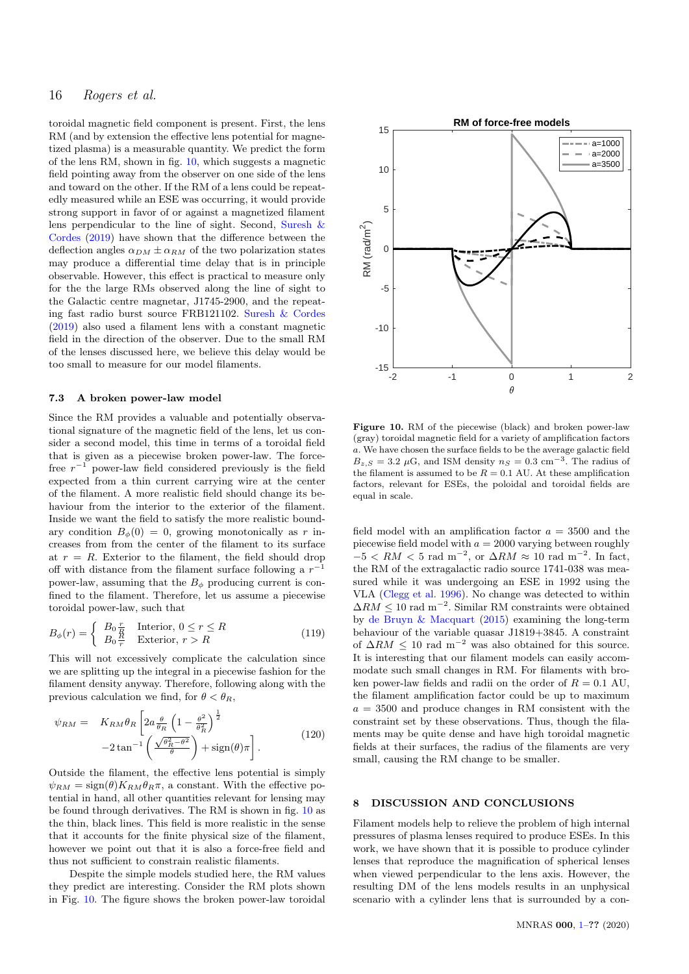toroidal magnetic field component is present. First, the lens RM (and by extension the effective lens potential for magnetized plasma) is a measurable quantity. We predict the form of the lens RM, shown in fig. [10,](#page-15-1) which suggests a magnetic field pointing away from the observer on one side of the lens and toward on the other. If the RM of a lens could be repeatedly measured while an ESE was occurring, it would provide strong support in favor of or against a magnetized filament lens perpendicular to the line of sight. Second, [Suresh &](#page-18-6) [Cordes](#page-18-6) [\(2019\)](#page-18-6) have shown that the difference between the deflection angles  $\alpha_{DM} \pm \alpha_{RM}$  of the two polarization states may produce a differential time delay that is in principle observable. However, this effect is practical to measure only for the the large RMs observed along the line of sight to the Galactic centre magnetar, J1745-2900, and the repeating fast radio burst source FRB121102. [Suresh & Cordes](#page-18-6) [\(2019\)](#page-18-6) also used a filament lens with a constant magnetic field in the direction of the observer. Due to the small RM of the lenses discussed here, we believe this delay would be too small to measure for our model filaments.

#### 7.3 A broken power-law model

Since the RM provides a valuable and potentially observational signature of the magnetic field of the lens, let us consider a second model, this time in terms of a toroidal field that is given as a piecewise broken power-law. The forcefree  $r^{-1}$  power-law field considered previously is the field expected from a thin current carrying wire at the center of the filament. A more realistic field should change its behaviour from the interior to the exterior of the filament. Inside we want the field to satisfy the more realistic boundary condition  $B_{\phi}(0) = 0$ , growing monotonically as r increases from from the center of the filament to its surface at  $r = R$ . Exterior to the filament, the field should drop off with distance from the filament surface following a  $r^{-1}$ power-law, assuming that the  $B_{\phi}$  producing current is confined to the filament. Therefore, let us assume a piecewise toroidal power-law, such that

$$
B_{\phi}(r) = \begin{cases} B_0 \frac{r}{R} & \text{Interior, } 0 \le r \le R\\ B_0 \frac{R}{r} & \text{Exterior, } r > R \end{cases}
$$
(119)

This will not excessively complicate the calculation since we are splitting up the integral in a piecewise fashion for the filament density anyway. Therefore, following along with the previous calculation we find, for  $\theta < \theta_R$ ,

$$
\psi_{RM} = K_{RM} \theta_R \left[ 2a \frac{\theta}{\theta_R} \left( 1 - \frac{\theta^2}{\theta_R^2} \right)^{\frac{1}{2}} - 2 \tan^{-1} \left( \frac{\sqrt{\theta_R^2 - \theta^2}}{\theta} \right) + \text{sign}(\theta) \pi \right].
$$
\n(120)

Outside the filament, the effective lens potential is simply  $\psi_{RM} = \text{sign}(\theta) K_{RM} \theta_R \pi$ , a constant. With the effective potential in hand, all other quantities relevant for lensing may be found through derivatives. The RM is shown in fig. [10](#page-15-1) as the thin, black lines. This field is more realistic in the sense that it accounts for the finite physical size of the filament, however we point out that it is also a force-free field and thus not sufficient to constrain realistic filaments.

Despite the simple models studied here, the RM values they predict are interesting. Consider the RM plots shown in Fig. [10.](#page-15-1) The figure shows the broken power-law toroidal



<span id="page-15-1"></span>Figure 10. RM of the piecewise (black) and broken power-law (gray) toroidal magnetic field for a variety of amplification factors a. We have chosen the surface fields to be the average galactic field  $B_{z,S} = 3.2 \mu\text{G}$ , and ISM density  $n_S = 0.3 \text{ cm}^{-3}$ . The radius of the filament is assumed to be  $R = 0.1$  AU. At these amplification factors, relevant for ESEs, the poloidal and toroidal fields are equal in scale.

field model with an amplification factor  $a = 3500$  and the piecewise field model with  $a = 2000$  varying between roughly  $-5 < RM < 5$  rad m<sup>-2</sup>, or  $\Delta RM \approx 10$  rad m<sup>-2</sup>. In fact, the RM of the extragalactic radio source 1741-038 was measured while it was undergoing an ESE in 1992 using the VLA [\(Clegg et al.](#page-17-35) [1996\)](#page-17-35). No change was detected to within  $\Delta RM \leq 10$  rad m<sup>-2</sup>. Similar RM constraints were obtained by [de Bruyn & Macquart](#page-17-36) [\(2015\)](#page-17-36) examining the long-term behaviour of the variable quasar J1819+3845. A constraint of  $\Delta RM$  < 10 rad m<sup>-2</sup> was also obtained for this source. It is interesting that our filament models can easily accommodate such small changes in RM. For filaments with broken power-law fields and radii on the order of  $R = 0.1$  AU, the filament amplification factor could be up to maximum  $a = 3500$  and produce changes in RM consistent with the constraint set by these observations. Thus, though the filaments may be quite dense and have high toroidal magnetic fields at their surfaces, the radius of the filaments are very small, causing the RM change to be smaller.

#### <span id="page-15-0"></span>8 DISCUSSION AND CONCLUSIONS

Filament models help to relieve the problem of high internal pressures of plasma lenses required to produce ESEs. In this work, we have shown that it is possible to produce cylinder lenses that reproduce the magnification of spherical lenses when viewed perpendicular to the lens axis. However, the resulting DM of the lens models results in an unphysical scenario with a cylinder lens that is surrounded by a con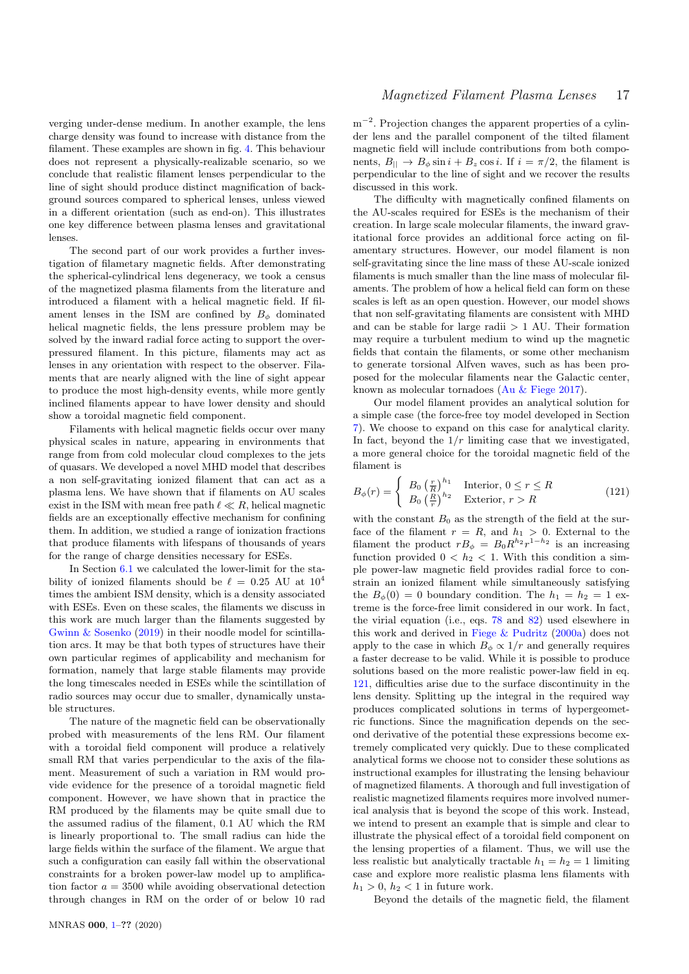verging under-dense medium. In another example, the lens charge density was found to increase with distance from the filament. These examples are shown in fig. [4.](#page-8-1) This behaviour does not represent a physically-realizable scenario, so we conclude that realistic filament lenses perpendicular to the line of sight should produce distinct magnification of background sources compared to spherical lenses, unless viewed in a different orientation (such as end-on). This illustrates one key difference between plasma lenses and gravitational lenses.

The second part of our work provides a further investigation of filametary magnetic fields. After demonstrating the spherical-cylindrical lens degeneracy, we took a census of the magnetized plasma filaments from the literature and introduced a filament with a helical magnetic field. If filament lenses in the ISM are confined by  $B_{\phi}$  dominated helical magnetic fields, the lens pressure problem may be solved by the inward radial force acting to support the overpressured filament. In this picture, filaments may act as lenses in any orientation with respect to the observer. Filaments that are nearly aligned with the line of sight appear to produce the most high-density events, while more gently inclined filaments appear to have lower density and should show a toroidal magnetic field component.

Filaments with helical magnetic fields occur over many physical scales in nature, appearing in environments that range from from cold molecular cloud complexes to the jets of quasars. We developed a novel MHD model that describes a non self-gravitating ionized filament that can act as a plasma lens. We have shown that if filaments on AU scales exist in the ISM with mean free path  $\ell \ll R$ , helical magnetic fields are an exceptionally effective mechanism for confining them. In addition, we studied a range of ionization fractions that produce filaments with lifespans of thousands of years for the range of charge densities necessary for ESEs.

In Section [6.1](#page-11-5) we calculated the lower-limit for the stability of ionized filaments should be  $\ell = 0.25$  AU at  $10^4$ times the ambient ISM density, which is a density associated with ESEs. Even on these scales, the filaments we discuss in this work are much larger than the filaments suggested by [Gwinn & Sosenko](#page-17-29) [\(2019\)](#page-17-29) in their noodle model for scintillation arcs. It may be that both types of structures have their own particular regimes of applicability and mechanism for formation, namely that large stable filaments may provide the long timescales needed in ESEs while the scintillation of radio sources may occur due to smaller, dynamically unstable structures.

The nature of the magnetic field can be observationally probed with measurements of the lens RM. Our filament with a toroidal field component will produce a relatively small RM that varies perpendicular to the axis of the filament. Measurement of such a variation in RM would provide evidence for the presence of a toroidal magnetic field component. However, we have shown that in practice the RM produced by the filaments may be quite small due to the assumed radius of the filament, 0.1 AU which the RM is linearly proportional to. The small radius can hide the large fields within the surface of the filament. We argue that such a configuration can easily fall within the observational constraints for a broken power-law model up to amplification factor  $a = 3500$  while avoiding observational detection through changes in RM on the order of or below 10 rad

m<sup>-2</sup>. Projection changes the apparent properties of a cylinder lens and the parallel component of the tilted filament magnetic field will include contributions from both components,  $B_{\parallel} \to B_{\phi} \sin i + B_z \cos i$ . If  $i = \pi/2$ , the filament is perpendicular to the line of sight and we recover the results discussed in this work.

The difficulty with magnetically confined filaments on the AU-scales required for ESEs is the mechanism of their creation. In large scale molecular filaments, the inward gravitational force provides an additional force acting on filamentary structures. However, our model filament is non self-gravitating since the line mass of these AU-scale ionized filaments is much smaller than the line mass of molecular filaments. The problem of how a helical field can form on these scales is left as an open question. However, our model shows that non self-gravitating filaments are consistent with MHD and can be stable for large radii  $> 1$  AU. Their formation may require a turbulent medium to wind up the magnetic fields that contain the filaments, or some other mechanism to generate torsional Alfven waves, such as has been proposed for the molecular filaments near the Galactic center, known as molecular tornadoes [\(Au & Fiege](#page-17-37) [2017\)](#page-17-37).

Our model filament provides an analytical solution for a simple case (the force-free toy model developed in Section [7\)](#page-13-0). We choose to expand on this case for analytical clarity. In fact, beyond the  $1/r$  limiting case that we investigated, a more general choice for the toroidal magnetic field of the filament is

<span id="page-16-0"></span>
$$
B_{\phi}(r) = \begin{cases} B_0 \left(\frac{r}{R}\right)^{h_1} & \text{Interior, } 0 \le r \le R\\ B_0 \left(\frac{R}{r}\right)^{h_2} & \text{Exterior, } r > R \end{cases} \tag{121}
$$

with the constant  $B_0$  as the strength of the field at the surface of the filament  $r = R$ , and  $h_1 > 0$ . External to the filament the product  $rB_{\phi} = B_0 R^{h_2} r^{1-h_2}$  is an increasing function provided  $0 < h_2 < 1$ . With this condition a simple power-law magnetic field provides radial force to constrain an ionized filament while simultaneously satisfying the  $B_{\phi}(0) = 0$  boundary condition. The  $h_1 = h_2 = 1$  extreme is the force-free limit considered in our work. In fact, the virial equation (i.e., eqs. [78](#page-10-1) and [82\)](#page-10-2) used elsewhere in this work and derived in [Fiege & Pudritz](#page-17-33) [\(2000a\)](#page-17-33) does not apply to the case in which  $B_{\phi} \propto 1/r$  and generally requires a faster decrease to be valid. While it is possible to produce solutions based on the more realistic power-law field in eq. [121,](#page-16-0) difficulties arise due to the surface discontinuity in the lens density. Splitting up the integral in the required way produces complicated solutions in terms of hypergeometric functions. Since the magnification depends on the second derivative of the potential these expressions become extremely complicated very quickly. Due to these complicated analytical forms we choose not to consider these solutions as instructional examples for illustrating the lensing behaviour of magnetized filaments. A thorough and full investigation of realistic magnetized filaments requires more involved numerical analysis that is beyond the scope of this work. Instead, we intend to present an example that is simple and clear to illustrate the physical effect of a toroidal field component on the lensing properties of a filament. Thus, we will use the less realistic but analytically tractable  $h_1 = h_2 = 1$  limiting case and explore more realistic plasma lens filaments with  $h_1 > 0$ ,  $h_2 < 1$  in future work.

Beyond the details of the magnetic field, the filament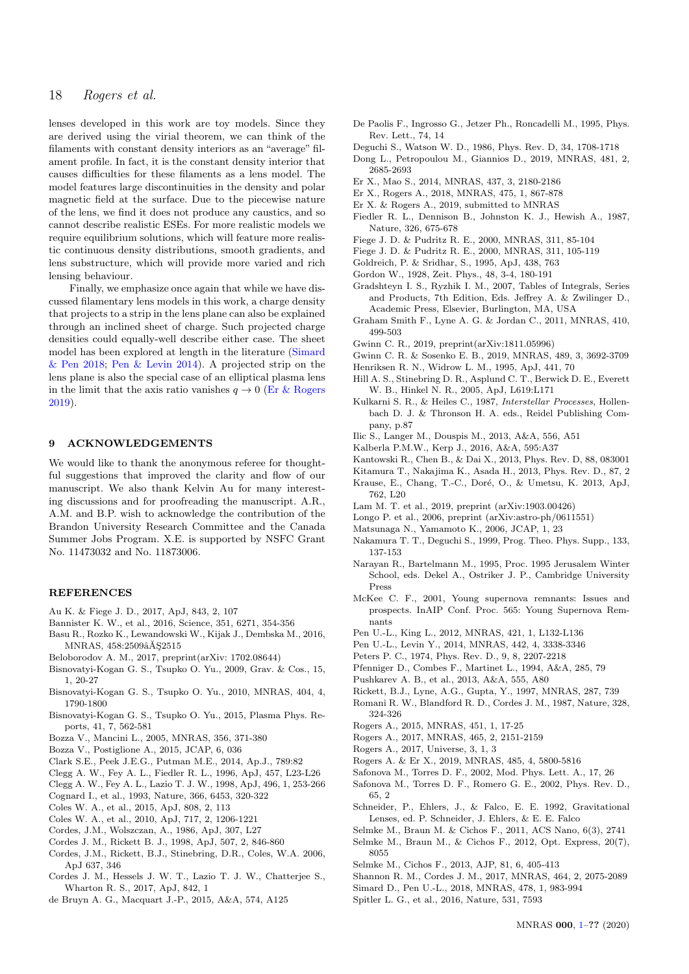lenses developed in this work are toy models. Since they are derived using the virial theorem, we can think of the filaments with constant density interiors as an "average" filament profile. In fact, it is the constant density interior that causes difficulties for these filaments as a lens model. The model features large discontinuities in the density and polar magnetic field at the surface. Due to the piecewise nature of the lens, we find it does not produce any caustics, and so cannot describe realistic ESEs. For more realistic models we require equilibrium solutions, which will feature more realistic continuous density distributions, smooth gradients, and lens substructure, which will provide more varied and rich lensing behaviour.

Finally, we emphasize once again that while we have discussed filamentary lens models in this work, a charge density that projects to a strip in the lens plane can also be explained through an inclined sheet of charge. Such projected charge densities could equally-well describe either case. The sheet model has been explored at length in the literature [\(Simard](#page-17-21) [& Pen](#page-17-21) [2018;](#page-17-21) [Pen & Levin](#page-17-5) [2014\)](#page-17-5). A projected strip on the lens plane is also the special case of an elliptical plasma lens in the limit that the axis ratio vanishes  $q \to 0$  [\(Er & Rogers](#page-17-8) [2019\)](#page-17-8).

#### 9 ACKNOWLEDGEMENTS

We would like to thank the anonymous referee for thoughtful suggestions that improved the clarity and flow of our manuscript. We also thank Kelvin Au for many interesting discussions and for proofreading the manuscript. A.R., A.M. and B.P. wish to acknowledge the contribution of the Brandon University Research Committee and the Canada Summer Jobs Program. X.E. is supported by NSFC Grant No. 11473032 and No. 11873006.

#### **REFERENCES**

- <span id="page-17-37"></span>Au K. & Fiege J. D., 2017, ApJ, 843, 2, 107
- <span id="page-17-0"></span>Bannister K. W., et al., 2016, Science, 351, 6271, 354-356
- <span id="page-17-14"></span>Basu R., Rozko K., Lewandowski W., Kijak J., Dembska M., 2016, MNRAS, 458:2509âĂŞ2515
- Beloborodov A. M., 2017, preprint(arXiv: 1702.08644)
- Bisnovatyi-Kogan G. S., Tsupko O. Yu., 2009, Grav. & Cos., 15, 1, 20-27
- Bisnovatyi-Kogan G. S., Tsupko O. Yu., 2010, MNRAS, 404, 4, 1790-1800
- Bisnovatyi-Kogan G. S., Tsupko O. Yu., 2015, Plasma Phys. Reports, 41, 7, 562-581
- <span id="page-17-22"></span>Bozza V., Mancini L., 2005, MNRAS, 356, 371-380
- Bozza V., Postiglione A., 2015, JCAP, 6, 036
- <span id="page-17-31"></span>Clark S.E., Peek J.E.G., Putman M.E., 2014, Ap.J., 789:82
- <span id="page-17-35"></span>Clegg A. W., Fey A. L., Fiedler R. L., 1996, ApJ, 457, L23-L26
- <span id="page-17-2"></span>Clegg A. W., Fey A. L., Lazio T. J. W., 1998, ApJ, 496, 1, 253-266
- Cognard I., et al., 1993, Nature, 366, 6453, 320-322
- <span id="page-17-17"></span>Coles W. A., et al., 2015, ApJ, 808, 2, 113
- Coles W. A., et al., 2010, ApJ, 717, 2, 1206-1221
- <span id="page-17-10"></span>Cordes, J.M., Wolszczan, A., 1986, ApJ, 307, L27
- Cordes J. M., Rickett B. J., 1998, ApJ, 507, 2, 846-860
- <span id="page-17-13"></span>Cordes, J.M., Rickett, B.J., Stinebring, D.R., Coles, W.A. 2006, ApJ 637, 346
- <span id="page-17-3"></span>Cordes J. M., Hessels J. W. T., Lazio T. J. W., Chatterjee S., Wharton R. S., 2017, ApJ, 842, 1
- <span id="page-17-36"></span>de Bruyn A. G., Macquart J.-P., 2015, A&A, 574, A125
- <span id="page-17-24"></span>De Paolis F., Ingrosso G., Jetzer Ph., Roncadelli M., 1995, Phys. Rev. Lett., 74, 14
- Deguchi S., Watson W. D., 1986, Phys. Rev. D, 34, 1708-1718
- <span id="page-17-12"></span>Dong L., Petropoulou M., Giannios D., 2019, MNRAS, 481, 2, 2685-2693
- Er X., Mao S., 2014, MNRAS, 437, 3, 2180-2186
- <span id="page-17-6"></span>Er X., Rogers A., 2018, MNRAS, 475, 1, 867-878
- <span id="page-17-8"></span>Er X. & Rogers A., 2019, submitted to MNRAS
- <span id="page-17-1"></span>Fiedler R. L., Dennison B., Johnston K. J., Hewish A., 1987, Nature, 326, 675-678
- <span id="page-17-33"></span>Fiege J. D. & Pudritz R. E., 2000, MNRAS, 311, 85-104
- <span id="page-17-34"></span>Fiege J. D. & Pudritz R. E., 2000, MNRAS, 311, 105-119
- <span id="page-17-20"></span>Goldreich, P. & Sridhar, S., 1995, ApJ, 438, 763
- Gordon W., 1928, Zeit. Phys., 48, 3-4, 180-191
- Gradshteyn I. S., Ryzhik I. M., 2007, Tables of Integrals, Series and Products, 7th Edition, Eds. Jeffrey A. & Zwilinger D., Academic Press, Elsevier, Burlington, MA, USA
- <span id="page-17-27"></span>Graham Smith F., Lyne A. G. & Jordan C., 2011, MNRAS, 410, 499-503
- <span id="page-17-28"></span>Gwinn C. R., 2019, preprint(arXiv:1811.05996)
- <span id="page-17-29"></span>Gwinn C. R. & Sosenko E. B., 2019, MNRAS, 489, 3, 3692-3709
- <span id="page-17-25"></span>Henriksen R. N., Widrow L. M., 1995, ApJ, 441, 70
- <span id="page-17-16"></span>Hill A. S., Stinebring D. R., Asplund C. T., Berwick D. E., Everett W. B., Hinkel N. R., 2005, ApJ, L619:L171
- <span id="page-17-18"></span>Kulkarni S. R., & Heiles C., 1987, Interstellar Processes, Hollenbach D. J. & Thronson H. A. eds., Reidel Publishing Company, p.87
- Ilic S., Langer M., Douspis M., 2013, A&A, 556, A51
- <span id="page-17-32"></span>Kalberla P.M.W., Kerp J., 2016, A&A, 595:A37
- Kantowski R., Chen B., & Dai X., 2013, Phys. Rev. D, 88, 083001
- Kitamura T., Nakajima K., Asada H., 2013, Phys. Rev. D., 87, 2
- Krause, E., Chang, T.-C., Doré, O., & Umetsu, K. 2013, ApJ,
	- 762, L20
- <span id="page-17-15"></span>Lam M. T. et al., 2019, preprint (arXiv:1903.00426)
- Longo P. et al., 2006, preprint (arXiv:astro-ph/0611551)
- Matsunaga N., Yamamoto K., 2006, JCAP, 1, 23
- Nakamura T. T., Deguchi S., 1999, Prog. Theo. Phys. Supp., 133, 137-153
- <span id="page-17-30"></span>Narayan R., Bartelmann M., 1995, Proc. 1995 Jerusalem Winter School, eds. Dekel A., Ostriker J. P., Cambridge University Press
- <span id="page-17-26"></span>McKee C. F., 2001, Young supernova remnants: Issues and prospects. InAIP Conf. Proc. 565: Young Supernova Remnants
- <span id="page-17-4"></span>Pen U.-L., King L., 2012, MNRAS, 421, 1, L132-L136
- <span id="page-17-5"></span>Pen U.-L., Levin Y., 2014, MNRAS, 442, 4, 3338-3346
- Peters P. C., 1974, Phys. Rev. D., 9, 8, 2207-2218
- <span id="page-17-23"></span>Pfenniger D., Combes F., Martinet L., 1994, A&A, 285, 79
- <span id="page-17-9"></span>Pushkarev A. B., et al., 2013, A&A, 555, A80
- <span id="page-17-11"></span>Rickett, B.J., Lyne, A.G., Gupta, Y., 1997, MNRAS, 287, 739
- <span id="page-17-19"></span>Romani R. W., Blandford R. D., Cordes J. M., 1987, Nature, 328, 324-326
- Rogers A., 2015, MNRAS, 451, 1, 17-25
- Rogers A., 2017, MNRAS, 465, 2, 2151-2159
- Rogers A., 2017, Universe, 3, 1, 3
- <span id="page-17-7"></span>Rogers A. & Er X., 2019, MNRAS, 485, 4, 5800-5816
- Safonova M., Torres D. F., 2002, Mod. Phys. Lett. A., 17, 26
- Safonova M., Torres D. F., Romero G. E., 2002, Phys. Rev. D., 65, 2
- Schneider, P., Ehlers, J., & Falco, E. E. 1992, Gravitational Lenses, ed. P. Schneider, J. Ehlers, & E. E. Falco
- Selmke M., Braun M. & Cichos F., 2011, ACS Nano, 6(3), 2741
- Selmke M., Braun M., & Cichos F., 2012, Opt. Express, 20(7), 8055
- Selmke M., Cichos F., 2013, AJP, 81, 6, 405-413
- Shannon R. M., Cordes J. M., 2017, MNRAS, 464, 2, 2075-2089
- <span id="page-17-21"></span>Simard D., Pen U.-L., 2018, MNRAS, 478, 1, 983-994
- Spitler L. G., et al., 2016, Nature, 531, 7593